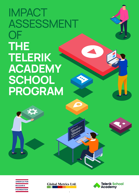# IMPACT ASSESSMENT OF **THE TELERIK ACADEMY SCHOOL PROGRAM**





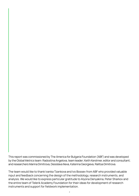This report was commissioned by The America for Bulgaria Foundation (ABF) and was developed by the Global Metrics team: Radostina Angelova, team leader; Keith Kershner, editor and consultant; and researchers Marina Dimitrova, Desislava Ilieva, Katerina Georgieva, Ralitsa Dimitrova.

The team would like to thank Ivanka Tzankova and Ivo Bossev from ABF who provided valuable input and feedback concerning the design of the methodology, research instruments, and analysis. We would like to express particular gratitude to Alyona Denyakina, Peter Sharkov and the entire team of Telerik Academy Foundation for their ideas for development of research instruments and support for fieldwork implementation.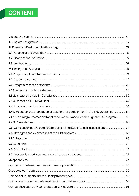## **CONTENT**

| 4.4.1. Selection and preparation of teachers for participation in the TAS programs  54  |    |
|-----------------------------------------------------------------------------------------|----|
| 4.4.2. Learning outcomes and application of skills acquired through the TAS program  57 |    |
|                                                                                         |    |
| 4.5. Comparison between teachers' opinion and students' self-assessment  67             |    |
|                                                                                         |    |
| 4.6.1. Teachers                                                                         | 69 |
|                                                                                         |    |
|                                                                                         |    |
|                                                                                         |    |
|                                                                                         |    |
|                                                                                         |    |
|                                                                                         |    |
|                                                                                         |    |
|                                                                                         |    |
|                                                                                         |    |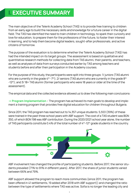## **I. EXECUTIVE SUMMARY**

The main objective of the Telerik Academy School (TAS) is to provide free training to children from an early age to build the necessary skills and knowledge for a future career in the digital field. The TAS has identified the need to train children in technology, to spark their curiosity and love for education, to prepare them for the professions of the future, to foster their interest in learning, and to help them become digital leaders, sought-after professionals, and active citizens of tomorrow.

The purpose of the evaluation is to determine whether the Telerik Academy School (TAS) has had the intended impact on its target groups. The assessment is based on qualitative and quantitative research methods for collecting data from TAS alumni, their parents, and teachers, as well as analyses of data from surveys conducted earlier by TAS among teachers and students before and after their participation in the Academy courses.

For the purpose of this study, the participants were split into three groups: 1/ juniors (TAS alumni who are currently in the grade  $4<sup>th</sup> - 7<sup>th</sup>$ ; 2/ seniors (TAS alumni who are currently in the grade  $8<sup>th</sup>$ -12<sup>th</sup>); and 3/18+ TAS alumni (former participants who were 18 years or older at the time of the assessment).

The empirical data and the collected evidence allowed us to draw the following main conclusions:

**→ Program Implementation** – The program has achieved its main goals to develop and implement a training program that provides free digital education for children throughout Bulgaria.

Since 2011, the TAS program has reached out to 14,357 unique students. 5,553 (39%) of these were trained in the past three school years with ABF support. The cost of a TAS student was BGN 350, of which BGN 198 was ABF contribution. During the 2020/2021 school year alone, the number of TAS participants constitute 0.4% of the total number of 4<sup>th</sup>-12<sup>th</sup> grade students in the country.



ABF involvement has changed the profile of participating students. Before 2017, the senior students prevailed (71% to 91% in different years). After 2017, the share of junior students varied between 66% and 79%.

ABF support allowed the program to reach more communities (since 2011, the program has been offered in 41 settlements, 19 added after 2018 with ABF support)) and changed the ratio between the type of settlements where TAS was active. Sofia is no longer the leading city and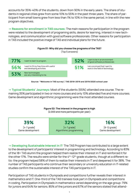accounts for 35%-40% of the students, down from 90% in the early years. The share of students in regional cities grew from some 10% to 55% in the past three years. The share of participant from small towns grew from less than 1% to 10% in the same period, in line with the new program objectives.

**→ Reasons for enrollment in TAS courses:** The main reasons for participation in the program were related to the development of programing skills, desire for learning, interest in new technologies, and communication with good software professionals. Other reasons for participation in TAS included the positive image of TAS and individual plans for the future.

#### **Figure 01: Why did you choose the programs of the TAS?**

(Top 5 answers)

| 77% | I want to learn to program.                                           | 52% | I want to be in an environment<br>of good software professionals  |
|-----|-----------------------------------------------------------------------|-----|-------------------------------------------------------------------|
| 56% | I want to fill my free time with useful<br>and developing activities. | 51% | I am convinced that I want to<br>work in the field of technology. |
| 53% | New technologies<br>are very interesting to me.                       |     |                                                                   |



**→ Typical Students' Journeys:** Most of the students (65%) attended one course. The remaining 35% participated in two or more courses and only 10% attended five and more courses. Game development and algorithmic programming were the most attended courses.

## **Figure 02: The interest in the program is high**

(2,000 and more participants per year)**:**

| 39%              | 32%                     | 16%              |
|------------------|-------------------------|------------------|
| $[4-7$ grade     | $[4-7$ grade            | $[8-12$ grade    |
| Game development | Algorithmic programming | Game development |

→ **Developing Sustainable Interest in IT:** The TAS Program has contributed to a large extent to the development of participants' interest in programming and technology. According to 83% of the 18+ TAS alumni the program helped them realize their interest in IT and reinforced it for the other 17%. The results were similar for the  $4<sup>th</sup>$ -12<sup>th</sup> grade students, though at a different ratio: the program helped 58% of them to realize their interests in IT and deepened it for 38%. The number of TAS participants who continue their secondary or university education in IT-related studies confirm the sustainable interest of the TAS participants in IT.

Participation of TAS students in Olympiads and competitions further reveals their interest in mathematics and IT. One-third of the TAS trainees took part in Olympiads and competitions in coding. Participation in Olympiads in mathematics varied depending on the age group: 79% for juniors and 64% for seniors. 85% of the juniors and 67% of the seniors stated that attend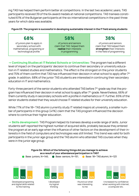ing TAS has helped them perform better at competitions. In the last two academic years, TAS participants received 39 of the 64 award medals at national competitions. TAS trainees constituted 61% of the Bulgarian participants at the six international competitions in the past three years for which data was available.

### **Figure 03: The program is successful in developing sustainable interest in the IT field among students**

| 68%                         | 58%                        | 38%                         |
|-----------------------------|----------------------------|-----------------------------|
| of juniors plan to apply in | of juniors and seniors     | of juniors and seniors      |
| secondary school with       | claim that TAS helped them | claim that TAS helped them  |
| mathematical, programing or | realize their interests    | strengthen their interests  |
| technological profile       | in programming             | in the field of programming |

**→ Continuing Studies at IT Related Schools or Universities:** The program had a different level of impact on the participants' decision to continue their secondary or university education in IT related studies and mathematics. The effect is the strongest on the junior students and 75% of them confirm that TAS has influenced their decision in what school to apply after 7<sup>th</sup> grade. In addition, 68% of the junior TAS students are interested in continuing their secondary education in IT and mathematics.

Forty-three percent of the senior students who attended TAS before 7<sup>th</sup> grade say that the program has influenced their decision in what school to apply after 7<sup>th</sup> grade. Nevertheless, 66% of them currently study in secondary schools with a profile in mathematics or IT. Further, 65% of the senior students stated that they would choose IT-related studies for their university education.

While 77% of the 18+ TAS alumni currently study IT related majors at university, a smaller number of participants in this group (41%) claim that the TAS program influenced the decision where to continue their higher education.

**→ Skills development:** TAS Program helped its trainees develop a wide range of skills. Junior students self-reported the highest number of acquired skills, probably because they entered the program at an early age when the influence of other factors on the development of their interests in the field of computers and technologies was still limited. This trend was valid for both participants in the junior age group and the TAS alumni who attended TAS courses when they were in the junior age group.

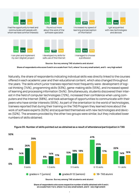

I had the opportunity to meet and communicate with people with whom we have common interests



I can plan and implement my own (digital) project



I found out more about the work of the software specialist



I developed my skills for safe use of the Internet



I increased my speed of learning and perception of information



a profession



I got acquainted with new technologies and devices

**Source: Survey among TAS students and alumni**

**Share of respondents who score 5 and 4 on a scale from 1 to 5, where 1 is a very small extent, and 5 - very high extent**

Naturally, the share of respondents indicating individual skills was directly linked to the courses offered in each academic year and their educational content, which also changed throughout the years. The skills which junior trainees reported most frequently were: development of logical thinking (74%), programming skills (63%), game-making skills (55%), and increased speed of learning and processing information (54%). Simultaneously, students discovered their interest in the field of computer technologies (72%), increased their confidence when using computers and the Internet (68%), and took advantage of opportunities to communicate with their peers who have similar interests (65%). As part of the orientation to the world of technologies, trainees reported that during their training on the TAS Program they learned more about the work of software experts (62%) and acquainted themselves with new technologies and devices (52%). The answers provided by the other two groups were similar, but they indicated lower numbers of skills obtained.



### **Figure 05: Number of skills pointed out as obtained as a result of attendance/participation in TAS**

**Source: Survey among TAS students and alumni**

**Share of respondents who score respective number of skills obtained with 5 and 4 on a scale from 1 to 5, where 1 is a very small extent, and 5 - very high extent**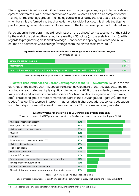The program achieved more significant results with the younger age groups in terms of development of interests, skills, and orientation as a whole, whereas it acted as a complementary training for the elder age groups. The finding can be explained by the fact that this is the age when key skills are formed and the change is more tangible. Besides, this time is the tipping point in growing personal interest in IT as a basis for the future development of IT-related skills.

Participation in the program had a direct impact on the trainees' self-assessment of their skills: by the end of the training their rating increased by 4.35 points (on the scale from 1 to 10) with regards to programming skills and knowledge. Confidence in applying skills obtained in TAS course on a daily basis was also high (average score 7.91 on the scale from 1 to 10).

#### **Figure 06: Self-Assessment of skills and knowledge before and after the program** On a scale of 1 to 10

| Before the start of training                                                                  | 3.92 |
|-----------------------------------------------------------------------------------------------|------|
| After training                                                                                | 8.27 |
| How confident are you that you will be able to apply what you have learned in your daily life | 7.91 |

**Source: Survey among participants in 2017/2018, 2018/2019 and 2019/2020 school years**

**→ Factors That Influence the Career Development of the 18+ TAS Alumni:** TAS is in the middle range of the factors that influenced the career development of the TAS students. The top four factors, each rated as highly significant for more than 80% of the students<sup>1</sup>, were personal skills, efforts, and interest in computer science (motivation, desire, diligence, and hard work, etc.). The second group of factors mentioned were in the 50% range(See Figure 07). These included first job, TAS courses, interest in mathematics, higher education, secondary education, and internships. It means that next to personal factors, TAS courses were very important.

### **Figure 07: Which of the following do you think helped you to succeed?**

Those who completed 12<sup>th</sup> grade and work in the field related to computer technologies, N=54

| My desire / motivation to learn                                 | 86% |
|-----------------------------------------------------------------|-----|
| My diligence and hard work                                      | 83% |
| My interest in computer science                                 | 83% |
| My skills                                                       | 80% |
| First job                                                       | 51% |
| Extracurricular courses attended at TAS                         | 50% |
| My interest in mathematics                                      | 49% |
| Higher education                                                | 48% |
| Secondary education                                             | 42% |
| Internship/practice                                             | 41% |
| Extracurricular courses in other schools and organizations      | 27% |
| Time spent in computer games                                    | 26% |
| Influence of my friends and/or classmates                       | 23% |
| The orientation and work of my parents or another family member | 21% |

#### **Source: Survey among TAS students and alumni**

**Share of respondents who score 5 and 4 on a scale from 1 to 5, where 1 is a very small extent, and 5 - very high extent**

<sup>1</sup> Those who score 5 and 4 on a scale from 1 to 5, where 1 is a very small extent, and 5 is very high extent.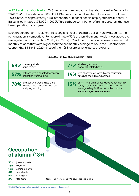**→ TAS and the Labor Market:** TAS has a significant impact on the labor market in Bulgaria: In 2020, 93% of the estimated 1,850 18+ TAS alumni who had IT-related jobs worked in Bulgaria. This is equal to approximately 4,5% of the total number of people employed in the IT sector in Bulgaria, estimated at 38,000 in 2020<sup>2</sup>. This is a huge contribution of a single program that has been operating for ten years.

Even though the 18+ TAS alumni are young and most of them are still university students, their remuneration is competitive. For approximately 30% of them the monthly salary was above the average for Sofia for the Q2 of 2021 (BGN 2,072). 13% of the 18+ TAS alumni already earned net monthly salaries that were higher than the net monthly average salary in the IT sector in the country (BGN 3,344 in 2020). Most of them (68%) are junior experts or experts.

#### **Figure 08: 18+ TAS alumni work in IT field**

| 59% currently study<br>at university.                                                   | 77% study or graduated<br>The from an IT-related major.                                                                                                                         |
|-----------------------------------------------------------------------------------------|---------------------------------------------------------------------------------------------------------------------------------------------------------------------------------|
| 57% of those who graduated secondary<br>education were working                          | 14% who already graduated higher education<br>obtained their diploma abroad.                                                                                                    |
| 78% of those who worked had a job<br>related to computer technology<br>and programming. | 13% of 18+ TAS alumni already receive net monthly<br>alary that is higher than the net monthly<br>average salary for IT sector in the country<br>For 2020 - 3,344 BGN per month |

## **Occupation of alumni** (18+)

- **30%** junior experts
- **38%** experts
- **13%** senior experts
- **6%** team leads
- **6% 2%** managers directors

**Source: Survey among TAS students and alumni**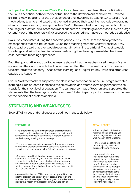**→ Impact on the Teachers and Their Practices:** Teachers considered their participation in the TAS as beneficial both for their contribution to the development of children's IT-related skills and knowledge and for the development of their own skills as teachers. A total of 91% of the Academy teachers indicated that they had improved their teaching methods by upgrading already known or learning new approaches. 94% of them applied what they learned in TAS in their regular practice: 38% of teachers applied them to a "very large extent" and 49% "to a large extent". Most of the teachers (87%) assessed the acquired and mastered methods as effective.

In a survey conducted during the academic period 2017-2019, 93% of the surveyed teachers responded that the influence of TAS on their teaching methods was very positive. 86% of the teachers said that they would recommend the training to a friend. The most valuable knowledge and skills that teachers developed during their training were related to different child-centered teaching approaches.

Both the quantitative and qualitative results showed that the teachers used the gamification approach in their work outside the Academy more often than other methods. The main modules offered at the Academy: "Accelerated learning" and "Digital literacy" were also often used outside the Academy.

Over 88% of the teachers supported the claims that participation in the TAS program created learning skills in students, increased their motivation, and offered knowledge that served as a basis for their next level of education. The same percentage of teachers also supported the statements that the trainings provided a successful start in participants' careers and in general for their choice of a professional field.

## **STRENGTHS AND WEAKNESSES**

Several TAS values and challenges are outlined in the table below.

• The program contributed in many areas of skill formation, career orientation, and personal development of trainees. It strengthened their desire to continue in higher education in the field of programming and technology.

• The program was especially valuable for the junior students, for whom the program provides the basic skills needed for programming and development in the field of computer technology.

• Students shared that they had fun while learning, appreciated the skills they acquired and the opportunity to communicate with other peers who have similar interests. The majority of students participated with pleasure in TAS trainings, demonstrated high motivation for learning, and did their homework readily.

• A cumulative share of 72% of teachers supported the claim that the program had a great or very positive impact on the local teachers who were part of the program. Attitudes towards the positive impact on the local community were similar.

#### **STRENGTHS WEAKNESSES**

• The complexity of the study material, as well as the speed of teaching was reported as a weakness by some students.

• There was a lack of mechanisms for giving feedback to parents of young students.

• Many students were looking for opportunities to upgrade but did not always know which courses were right for them and in what combination it was appropriate to take them. It would be good if teachers took some time to describe their courses (and those that they do not lead personally but are led by their colleagues).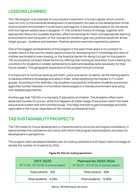## **LESSONS LEARNED**

The TAS program is an example of a successful investment in human capital, which contributes not only to the individual development of participants, but also to the development of the local economic environment in small towns and regions. It also provides support for the sector with the highest added value in Bulgaria—IT. The coherent theory of change, together with appropriate resources (suitable teachers, effective trainings for them, and appropriate learning environments) and the quality of the courses for students give very positive results for all key target groups - students and teachers. Positive opinions were also reported by parents.

One of the biggest achievements of the program in the past three years is its outreach to smaller towns in the country where opportunities for developing the IT knowledge and skills of children are limited or even missing, or the financial barrier for doing it is high for the parents. TAS successfully combats these factors by offering free training at local level, thus creating the conditions for students in smaller settlements to learn and develop skills necessary for their future careers. This geographic expansion of the program should continue.

It is important to continue working with both, junior and senior students, as the training seems to develop different knowledge and skills in them, while solidifying the interest in IT in both groups. According to the teachers, the Academy successfully motivates students and encourages their further interests in information technologies in a friendly environment and using well-adapted approaches.

Another gap that TAS fills in is the early IT education of children. The Academy offers more advanced courses for juniors, while this happens at a later stage of education within the state educational system and with a limited scope. This helps the kids to gain knowledge and skills applicable in the future, regardless of the chosen professional track.

## **TAS SUSTAINABILITY PROSPECTS**

The TAS model for future development is characterized by structure and logical consistency. It demonstrates the confidence and clarity with which the program team presents and plans its development in perspective.

The program team developed detailed plan for scaling operations and impact which envisage to double the number of students by 2024.

| 2017-2020<br>SY'17/18 - SY'19/20 (3 school years) | <b>Planned for 2020-2024</b><br>SY'20/21 - SY'23/24 (4 school years) |
|---------------------------------------------------|----------------------------------------------------------------------|
| Total cohorts - 222                               | Total cohorts - 628                                                  |
| Total students - 6,024                            | Total students - 12,820                                              |

### **Figure 09: Plan for scaling operations**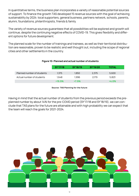In quantitative terms, the business plan incorporates a variety of reasonable potential sources of support. To finance the growth TAS developed 15 revenue sources with the goal of achieving sustainability by 2024: local supporters, general business, partners network, schools, parents, alumni, foundations, philanthropists, friends & family.

The variety of revenue sources guarantees that all possibilities will be explored and growth will continue, despite the continuing negative effects of COVID-19. This gives flexibility and different options for future development.

The planned scale for the number of trainings and trainees, as well as their territorial distribution are reasonable, proven to be realistic and well thought out, including the scope of regional cities and other settlements in the country.

|                            | SY'17/18 | SY'18/19 | SY'19/20 | <b>TOTAL</b> |  |
|----------------------------|----------|----------|----------|--------------|--|
| Planned number of students | 1.375    | 1.850    | 2.375    | 5.600        |  |
| Actual number of students  | 1.648    | 1.996    | 2,179    | 5.823        |  |
|                            | $+19.9%$ | $+7.9%$  |          | $+4.0%$      |  |

#### **Figure 10: Planned and actual number of students**

#### **Source: TAS Planning for the future**

Having in mind that the actual number of students from the previous period exceeds the preplanned number by about 14% for the pre-COVID period (SY'17/18 and SY'18/19), we can conclude that TAS plans for the future are attainable and with high probability we can expect that the team will reach the goals for 2021-2024.

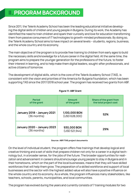## <span id="page-12-0"></span>**II. PROGRAM BACKGROUND**

Since 2011, the Telerik Academy School has been the leading educational initiative developing the digital skills of children and young people in Bulgaria. During its work, the Academy has identified the need to train children and spark their curiosity and love for education transforming them from passive consumers of IT technologies to growth-minded professionals. By doing so, the Telerik Academy School aims to have impact on several levels – students, regions, business, and the whole country and its economy.

The main objective of the program is to provide free training to children from early ages to build the necessary skills and knowledge for a future career in the digital field. At the same time, the program aims to prepare the younger generation for the professions of the future, to foster their interest in learning, and to help make them digital leaders, sought-after professionals, and active citizens of tomorrow.

The development of digital skills, which is the core of the Telerik Academy School (TAS), is consistent with the vision and priorities of the America for Bulgaria Foundation, which has been supporting TAS since the 2017/2018 school year. The program has received two grants from ABF.

| <b>Period</b><br>of the grant              | Amount<br>of the grant         | Share of the grant from<br>the total project cost |
|--------------------------------------------|--------------------------------|---------------------------------------------------|
| January 2018 - January 2021<br>(36 months) | 1,100,000 BGN<br>(USD 628,000) | 52%                                               |
| January 2020 - January 2023<br>(36 months) | 930,000 BGN<br>(USD 521, 944)  | 29%                                               |

### **Figure 11: ABF Grant**

#### **Source: ABF/TAS project documents**

On the level of individual student, the program offers free trainings that develop logical and creative thinking and a set of skills that prepare children not only for a career in a digital technology but, in a broader sense, for the jobs of the future. The broader opportunities for realization and advancement in careers should encourage young people to stay in Bulgaria and in their hometowns, which on the part of the local businesses, means that they will have skilled workforces that will help them grow. The preparation of a skilled workforce and support of local businesses and the sector with the highest added value will also have a positive influence on the whole country and its economy. As a whole, the program influences many stakeholders, like teachers, schools, parents, municipalities, and local communities.

The program has evolved during the years and currently consists of 7 training modules for two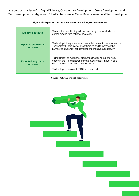age groups: grades 4-7 in Digital Science, Competitive Development, Game Development and Web Development and grades 8-12 in Digital Science, Game Development, and Web Development.

| <b>Expected outputs</b>                | To establish functioning educational programs for students<br>across grades with national coverage.                                                                                                                                 |
|----------------------------------------|-------------------------------------------------------------------------------------------------------------------------------------------------------------------------------------------------------------------------------------|
| <b>Expected short-term</b><br>outcomes | To develop in its graduates sustainable interest in the Information<br>Technology (IT) field after 1 year training and to increase the<br>number of students that complete the training successfully.                               |
| <b>Expected long-term</b><br>outcomes  | To maximize the number of graduates that continue their edu-<br>cation in the IT field and/or are employed in the IT industry as a<br>result of their participation in the program.<br>To develop a sustainable TAS business model. |

### **Figure 12: Expected outputs, short-term and long-term outcomes**

**Source: ABF/TAS project documents**

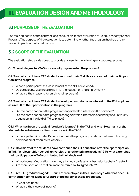## <span id="page-14-0"></span>**III. EVALUATION DESIGN AND METHODOLOGY**

## **3.1 PURPOSE OF THE EVALUATION**

The main objective of the contract is to conduct an impact evaluation of Telerik Academy School Program. The purpose of the evaluation is to determine whether the program has had the intended impact on the target groups.

## **3.2 SCOPE OF THE EVALUATION**

The evaluation study is designed to provide answers to the following evaluation questions:

### **Q1. To what degree has TAS successfully implemented the program?**

### **Q2. To what extent have TAS students improved their IT skills as a result of their participation in the program?**

- What is participants' self-assessment of the skills developed?
- Do participants use these skills in further education and employment?
- What are their reasons for enrolment in program?

### **Q3. To what extent have TAS students developed a sustainable interest in the IT disciplines as a result of their participation in the program?**

- Did the participation in the program change/develop interest in IT disciplines?
- Did the participation in the program change/develop interest in secondary and university education in the field of IT disciplines?

### **Q3.1. What has been the typical "student's journey" in the TAS and why? How many of the students have taken more than one course in the TAS?**

• Is there pattern in student's participation in the program (correlation between choosing combination of modules vs. others)?

### **Q3.2. How many of the students have continued their IT education after their participation in TAS (in relevant high school, university, or another private academy)? To what extent has their participation in TAS contributed to their decision?**

- What degree of education have they attained professional bachelor/bachelor/master?
- Are there specialties that are more preferred by TAS graduates?

### **Q3.3. Are TAS graduates aged 18+ currently employed in the IT industry? What has been TAS contribution to the successful start of the career of those graduates?**

- In what positions?
- What are their levels of income?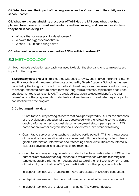<span id="page-15-0"></span>**Q4. What has been the impact of the program on teachers' practices in their daily work at school, if any?**

## **Q5. What are the sustainability prospects of TAS? Has the TAS done what they had planned to achieve in terms of sustainability and fund raising, and how successful have they been in achieving it?**

- What is the business plan for development?
- Who are the biggest competitors?
- What is TAS unique selling point?

### **Q6. What are the main lessons learned for ABF from this investment?**

## **3.3 METHODOLOGY**

A mixed methods evaluation approach was used to depict the short and long term results and impact of the program.

**1. Secondary data analysis** - this method was used to review and analyze the grant`s interim and final reports and the quantitative data collected by Telerik Academy School, as has been provided by the Assignor. Through this method, the whole program was examined, its theory of change, expected outputs, short-term and long-term outcomes, implemented activities, and documented results achieved. The provided data was also used to identify the shortterm effects of the program on both students and teachers and to evaluate the participants` satisfaction with the program.

### **2. Collecting primary data**

- Quantitative survey among students that have participated in TAS: for the purposes of the evaluation a questionnaire was developed with the following content: demographic information, educational status, employment status, participation in TAS, participation in other programs/schools, social status, and standard of living.
- Quantitative survey among teachers that have participated in TAS: for the purposes of the evaluation a questionnaire was developed with the following content: demographic information, information about teaching career, difficulties encountered in TAS, skills developed, and outcomes of the trainings.
- Quantitative survey among parents of students that have participated in TAS: for the purposes of the evaluation a questionnaire was developed with the following content: demographic information, educational status of their child, employment status of their child, participation in TAS, and participation in other programs/schools.
- In-depth interviews with students that have participated in TAS were conducted.
- In-depth interviews with teachers that have participated in TAS were conducted.
- In-depth interviews with project team managing TAS were conducted.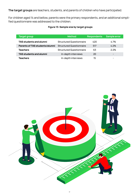**The target groups** are teachers, students, and parents of children who have participated.

For children aged 14 and bellow, parents were the primary respondents, and an additional simplified questionnaire was addressed to the children.

| <b>Target group</b>            | Method,                         | <b>Respondents</b> | Sample error |
|--------------------------------|---------------------------------|--------------------|--------------|
| <b>TAS students and alumni</b> | <b>Structured Questionnaire</b> | 420                | 4.7%         |
| Parents of TAS students/alumni | <b>Structured Questionnaire</b> | 517                | 4.2%         |
| <b>Teachers</b>                | <b>Structured Questionnaire</b> | 63                 | 2.2%         |
| <b>TAS students and alumni</b> | In-depth interviews             | 20                 | -            |
| <b>Teachers</b>                | In-depth interviews             | 15                 | -            |

### **Figure 13: Sample size by target groups**

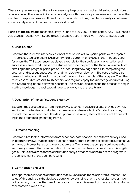These samples were a good base for measuring the program impact and drawing conclusions on a general level. There were limitations on analyses within subgroups because in some cases the number of responses was insufficient for further analysis. Thus, the plan for analysis between cohorts and periods of the program was also limited.

**Period of the fieldwork:** teachers survey - 3 June to 5 July 2021; participant survey - 15 June to 5 July 2021; parent survey - 15 June to 5 July 2021; in-depth interviews - 11 June to 16 July 2021.

### **3. Case studies**

Based on the in-depth interviews, six brief case studies of TAS participants were prepared. Three case studies present TAS alumni who are currently employed in the IT industry and for whom the TAS experience has played a key role for their professional orientation and successful career start. These case studies describe the path of the three TAS alumni from enrolling in the program, participation in it, acquiring knowledge and skills, completing the program and subsequent education and transition to employment. The case studies also present the factors influencing the path of the alumni and the role of the program. The other three case studies present TAS teachers, who regularly apply the knowledge acquired during the TAS training in their daily work at school. The case studies describe the process of acquiring this knowledge, its application in everyday work, and the results from it.

## **4. Description of typical "student's journey"**

Based on the collected data from the surveys, secondary analysis of data provided by TAS, and in-depth interviews conducted by the evaluation team, a typical "student s journey" through the TAS is described. The description outlines every step of the student from enrolling in the program to graduating from it.

## **5. Оutcome mapping**

Based on all collected information from secondary data analysis, quantitative surveys, and in-depth interviews, outcomes are outlined and structured in terms of expected outcomes vs. achieved outcomes based on the evaluation data. This allows the comparison between both and clearly shows if the implementation of the program has been successful in achieving its goals. This is also a base for the contribution analysis that shows the role of the program in the achievement of the outlined results.

### **6. Contribution analysis**

This approach outlines the contribution that TAS has made to the achieved outcomes. The value of this analysis is that it gives a better understanding of why the results have or have not occurred, what was the role of the program in the achievement of these results, and what other factors played a role.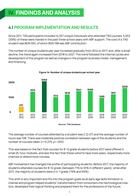## <span id="page-18-0"></span>**IV. FINDINGS AND ANALYSIS**

## **4.1 PROGRAM IMPLEMENTATION AND RESULTS**

Since 2011, TAS participants included 14,357 unique individuals who attended TAS courses. 5,553 (39%) of these were trained in the past three school years with ABF support. The cost of a TAS student was BGN 350, of which BGN 198 was ABF contribution.

The number of unique students per year increased gradually from 2014 to 2017, and, after a small decline, the trend again increased from 2018 to 2021. This trend followed the internal cycles and development of the program as well as changes in the program business model, management, and financing.



#### **Figure 14: Number of unique students per school year**

**Source: TAS database**

The average number of courses attended by a student was 2 (2.07) and the average number of hours was 108. There was moderate positive correlation between age of the students and the number of courses taken (r=0.279, p=.000).

This was based on the fact that courses for 8-12 grade students before 2017 were offered in small 25-hour modules, and also the fact that these cohorts have more years, respectively more chances to attend more courses.

ABF involvement has changed the profile of participating students. Before 2017, the majority of students attended courses for 8-12 grade (between 71% to 91% in different years), while after 2017, the majority of students were in 4-7 grade (79% and 69%).

This shift is very important and fits into the program goals as at early age skills formation is intense and program helped students' transformation from consumers into technological creators, developed their logical thinking and prepared them for the professions of the future.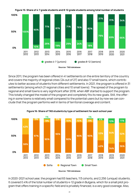

**Source: TAS database**

Since 2011, the program has been offered in 41 settlements on the entire territory of the country and covers the majority of regional cities (24 out of 27) and also 17 small towns, which contributes to better access of students from different settlements. In 2021, the program is offered in 31 settlements (among which 21 regional cities and 10 small towns). The spread of the program to regional and small towns is very significant after 2018, when ABF started to support the program. This totally changed the model of the program and completely fits its new goals. Still, the offering in some towns is relatively small compared to the potential users but by now we can conclude that the program performs well in terms of territorial coverage and content.



**Figure 16: Share of TAS students by type of settlement for each school year**

**Source: TAS database**

In 2020-2021 school year, the program had 65 teachers, 113 cohorts, and 2,256 (unique) students. It covered 0.4% of the total number of students 4-12 grade in Bulgaria, which for a small pilot program that offers training in a specific field and is privately financed, is a very good coverage. Also,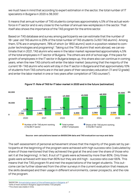we must have in mind that according to expert estimation in the sector, the total number of IT specialists in Bulgaria in 2020 is 38,000<sup>1</sup>.

It means that annual number of TAS students comprises approximately 4,5% of the actual workforce in IT sector and is very close to the number of annual new workplaces in the sector. That itself also shows the importance of the TAS program for the entire sector.

Based on TAS database and survey among participants we can estimate that the number of 18+ year-old TAS alumni is 29% of the total number of TAS students (4,160 TAS alumni). Among them, 57% are in employment, 78% of which (or 1850 alumni) work in a position related to computer technologies and programing<sup>2</sup>. Taking out the TAS alumni that work abroad, we can estimate that in 2021, TAS alumni who were in the labor market represented approximately 4,5% of the total employees in IT sector of Bulgaria. The others are still of school age. If the pace for growth of employees in the IT sector in Bulgaria keeps up, this share also can continue in coming years, when the new TAS cohorts will enter the labor market (assuming that the majority of the current 18+ TAS alumni who work will stay in the IT sector in Bulgaria and that approximately 10% of students from TAS cohorts are in the last years of their secondary education (11 and 12 grade) and enter the labor market in one or two years after completion of TAS courses $^3$ ).



**Figure 17: Role of TAS for IT labor market in 2020 and in the future (estimation)**

#### **Source: own calculations based on BASSCOM data and TAS evaluation surveys and data**

The self-assessment of personal achievement shows that the majority of the goals set by participants at the beginning of the program were achieved with high success ratio (calculated by share of those mentioned that they achieved the goal at the and over the share of those who set it at the beginning). In fact, 8 out of 11 goals were achieved by more than 80%. Only three goals were achieved with less than 80% but they are still high - success ratio over 66%. This means that the TAS program fit and met the expectations of the target students. This outcome can be further observed from the other surveys in the current evaluation that measure the skills developed and their usage in different environments, career prospects, and the role of the program.

<sup>1</sup>BASSCOM, [Annual status report of the software sector in Bulgaria](https://www.basscom.org/RapidASPEditor/MyUploadDocs/BASSCOM_Barometer_2020_BG_.pdf), p.7

<sup>2</sup>93% of them worked in Bulgaria (approximately 1720 people).

<sup>&</sup>lt;sup>3</sup>This share was stable in time.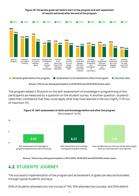#### **Figure 18: Personals goals set before start of the program and self-assesment of results achieved after the end of the program**

<span id="page-21-0"></span>

**Source: TAS survey among participants in 2018/2019 and 2019/2020 school years**

The program added 4.35 points to the self-assessment of knowledge in programming of the participants as measured by a question on the student survey. In another question, students rated their confidence that they could apply what they have learned in life very highly (7.91 out of maximum 10).



(On a scale of 1 to 10)



**Source: TAS survey among participants in 2017/2018, 2018/2019 and 2019/2020 school years**

## **4.2. STUDENTS' JOURNEY**

The successful implementation of the program and achievement of goals can also be illustrated through typical students' journeys.

65% of students attended only one course of TAS, 16% attended two courses, and 20% attend-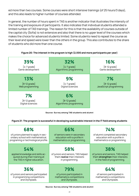ed more than two courses. Some courses were short intensive trainings (of 25 hours/3 days), and this also leads to higher number of courses attended.

In general, the number of hours spent in TAS is another indicator that illustrates the intensity of the training and exposure of participants. It also indicates that individual students attended a limited number of TAS trainings. The reason for this is that the availability of courses outside of the capital city (Sofia) is not extensive and also that there is no upper level of the courses which makes the choice for advanced students limited. Some students need to repeat the course as their level and speed were lower than the others in the group. This also contributes to the share of students who did more than one course.

| 39%                                      | 32%                                                     | 16%                    |
|------------------------------------------|---------------------------------------------------------|------------------------|
| $[4-7$ grade]                            | $[4-7$ grade]                                           | $[8-12 \text{ grade}]$ |
| Game development                         | Algorithmic programming                                 | Game development       |
| 13%                                      | 9%                                                      | 7%                     |
| $[8-12$ grade]                           | $[4-7$ grade]                                           | $[8-12$ grade]         |
| Web programming                          | Digital sciences                                        | JavaScript programming |
| 7%<br>$[8-12$ grade]<br>Digital sciences | 6%<br>$[8-12 \text{ grade}]$<br>Algorithmic programming |                        |

### **Figure 20: The interest in the program is high (2,000 and more participants per year)**

**Source: Survey among TAS students and alumni**

#### **Figure 21: The program is successful in developing sustainable interest in the IT field among students**

| 68%                                  | 66%                                | 74%                                |
|--------------------------------------|------------------------------------|------------------------------------|
| of juniors planned to apply in sec-  | of seniors were in secondary       | of alumni completed secondary      |
| ondary school with mathematical,     | education with a profile in        | education with a profile in        |
| programing or technological profile. | mathematics or programming.        | mathematics or programming.        |
| 54%                                  | 58%                                | 38%                                |
| applied knowledge and skills ac-     | of juniors and seniors, TAS helped | of juniors and seniors, TAS helped |
| quired during their training at      | them realize their interests       | them strengthen their interests    |
| the TAS in higher education.         | in programming.                    | in the field of programming.       |
| 36%                                  | 79%                                | 64%                                |
| of juniors and seniors participated  | of juniors participated in         | of seniors participated in         |
| in programming competitions          | mathematics competitions           | mathematics competitions           |
| and Olympiads.                       | and Olympiads.                     | and Olympiads.                     |

**Source: Survey among TAS students and alumni**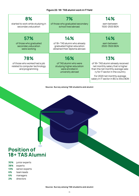| 8%<br>started to work while studying in<br>secondary education                            | 7%<br>of those who graduated secondary<br>school lived abroad.                                      | 14%<br>earn between<br>1500-2500 BGN                                                                                                                                                                                             |
|-------------------------------------------------------------------------------------------|-----------------------------------------------------------------------------------------------------|----------------------------------------------------------------------------------------------------------------------------------------------------------------------------------------------------------------------------------|
| 57%<br>of those who graduated<br>secondary education<br>were working                      | 14%<br>of 18+TAS alumni who already<br>graduated higher education<br>obtained their diploma abroad. | 14%<br>earn between<br>2500-3500 BGN                                                                                                                                                                                             |
| 78%<br>of those who worked had a job<br>related to computer technology<br>and programming | 16%<br>of TAS alumni who were<br>studying higher education<br>were enrolled in<br>university abroad | 13%<br>of 18+ TAS alumni already received<br>net monthly salary that is higher<br>than the net monthly average sala-<br>ry for IT sector in the country<br>For 2020 net monthly average<br>salary in IT sector in BG is 3344 BGN |

#### **Source: Survey among TAS students and alumni**

## **Position of 18+ TAS Alumni**

- **30%** junior experts
- **38%** experts
- **13%** senior experts
- **6%** team leads
- **6%** managers
- **2%** directors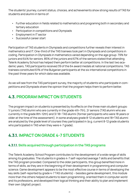<span id="page-24-0"></span>The students' journey, current status, choices, and achievements show strong results of TAS for students and alumni in terms of:

- Further education in fields related to mathematics and programing both in secondary and tertiary education
- Participation in competitions and Olympiads
- Employment in IT sector
- Successful career start

Participation of TAS students in Olympiads and competitions further reveals their interest in mathematics and IT. One-third of the TAS trainees took part in Olympiads and competitions in coding. Participation in Olympiads in mathematics varied depending on the age group: 79% for juniors and 64% for seniors. 85% of the juniors and 67% of the seniors stated that attending Telerik Academy School has helped them perform better at competitions. In the last two academic years, TAS participants received 39 of the 64 award medals at national competitions. TAS trainees constituted 61% of the Bulgarian participants at the six international competitions in the past three years for which data was available.

As we will see from the TAS participant survey, the majority of students who participate in competitions and Olympiads share the opinion that the program helps them to perform better.

## **4.3. PROGRAM IMPACT ON STUDENTS**

The program impact on students is presented by its effects on the three main student groups: 1/ juniors (TAS alumni who are currently in the grade 4th-7th), 2/ seniors (TAS alumni who are currently in the grade 8th-12th) and 3/ 18+ TAS alumni (former participants who were 18 years or older at the time of the assessment). In some analyses grade 8-12 students and 18+TAS alumni are analyzed by the grade level of courses they participated in (e.g. current 8-12 grade students who participated in TAS when they were 4-7 grade).

## **4.3.1. IMPACT ON GRADE 4-7 STUDENTS**

## **4.3.1.1. Skills acquired through participation in the TAS programs**

The Telerik Academy School Program contributes to the development of a wide range of skills among its graduates. The students in grades 4-7 self-reported average 7 skills and benefits that the TAS program provided. Compared to the older participants, this group benefited more in terms of skills, as they are in the beginning of their development in programming and computer science. Game development appears to be the most effective course in terms of developing the key skills (self-reported by grade 4-7 TAS students) – besides game development, this module more than the others helped students to learn programming, oriented them in computer world and its professions, and developed their logical thinking and their ability to plan and implement their own (digital) project.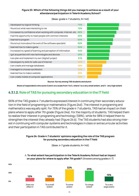#### **Figure 23: Which of the following things did you manage to achieve as a result of your attendance/participation in Telerik Academy School?**

(Base: grade 4-7 students, N=146)



#### **Source: Survey among TAS students and alumni**

**Share of respondents who score 5 and 4 on a scale from 1 to 5, where 1 is a very small extent, and 5 - very high extent**

## **4.3.1.2. Role of TAS for pursuing secondary education in the IT field**

66% of the TAS grade 4-7 students expressed interest in continuing their secondary education in the field of programing or mathematics (Figure 24d). The interest in programing and mathematics was equally split. For 75% of the grade 4-7 students, TAS had an impact on their plans where to apply after 7th grade (Figure 24a). For the majority of students, TAS helped them to realize their interest in programing and technology (58%), while for 38% it helped them to strengthen the interest they already had (Figure 24 b). The TAS students had also strong interest in continuing with computer systems and technologies in class or extracurricular activities and their participation in TAS contributed for it.

#### **Figure 24: Grade 4-7 students' opinions regarding the role of the TAS program for pursuing secondary education in the IT field**

(Base: 4-7 grade students, N=146)



A. **To what extent has participation in the Telerik Academy School had an impact**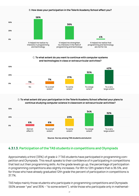#### B. **How does your participation in the Telerik Academy School affect you?**



#### C. **To what extent do you want to continue with computer systems and technologies in class or extracurricular activities?**



#### D. **To what extent did your participation in the Telerik Academy School affected your plans to continue studying computer science in classroom or extracurricular activities?**



**Source: Survey among TAS students and alumni**

## **4.3.1.3. Participation of the TAS students in competitions and Olympiads**

Approximately a third (33%) of grade 4-7 TAS students have participated in programming competition and Olympiads. This result speaks to their confidence of in participating in competitions that test out their programming skills. As the grade levels go up, the percentage of participation in programming competitions also slightly increases. For 8th to 12th graders that is 36.5%, and for those who have already graduated 12th grade the percent of participation in competitions is 37.7%.

TAS helps mainly those students who participate in programming competitions and Olympiads (60% answer "yes" and 35% – "to some extent"), while those who participate only in mathemat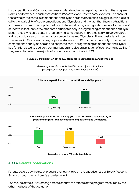ics competitions and Olympiads express moderate opinions regarding the role of the program in their performance in such competitions (27% "yes" and 51% "to some extent"). The share of those who participated in competitions and Olympiads in mathematics is bigger, but this is related to the availability of such competitions and Olympiads and the fact that there are traditions for these activities to be popularized (and to be suitable for) among wide number of schools and students. In fact, only a few students participated only in programming competitions and Olympiads - those who participate in programming competitions and Olympiads with 90-95% probability participate also in mathematics competitions and Olympiads. The opposite is not true – between 30-45% of each age groups are students of TAS who participate only in mathematics competitions and Olympiads and do not participate in programming competitions and Olympiads (this is related to tradition, communication and also organization of such events as well as if they are suitable for the majority of students who participate in TAS.

#### **Figure 25: Participation of the TAS students in competitions and Olympiads**

(base a: grade 4-7 students, N=146, base b: juniors that have participated in competitions and Olympiads, N=114)

## **0% 100% 50%** Programming Mathematics **79% 33%**

#### A. **Have you participated in competitions and Olympiads?**

#### B. **Did what you learned at TAS help you to perform more successfully in programming and/or mathematics competitions and Olympiads?**



#### **Source: Survey among TAS students and alumni**

## **4.3.1.4. Parents' observations**

Parents covered by the study present their own views on the effectiveness of Telerik Academy School through their children's experience in it.

The results of the survey among parents confirm the effects of the program measured by the other methods of the evaluation: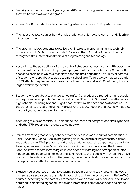- Majority of students in recent years (after 2018) join the program for the first time when they are between 4th and 7th grade.
- Around 8-9% of students attend both 4-7 grade course(s) and 8-12 grade course(s).
- The most attended courses by 4-7 grade students are Game development and Algorithmic programming.
- The program helped students to realize their interests in programming and technology according to 55% of parents while 40% report that TAS helped their children to strengthen their interests in the field of programming and technology.
- According to the perceptions of the parents of students between 4th and 7th grade, the inclusion of their children in the program/programs of the Telerik Academy School influences the decision in which direction to continue their education. Over 85% of parents of students who are about to apply to a new school after 7th grade say that participation in TAS affects the planning and formation of their choice, and in 43.9% of them, it is in a large or very large extent.
- Students who are about to change schools after 7th grade are directed to high schools with a programming profile, Technological School "Electronic Systems" or mathematics high schools, including National High School of Natural Sciences and Mathematics. On the other hand, the parents of nearly a quarter of the youngest (4th grade) say that they have not yet made a decision for their child.
- According to 47% of parents TAS helped their students for competitions and Olympiads and other 37% report that it helped to some extent.
- Parents mention great variety of benefit for their children as a result of participation in Telerik Academy School. Beside programing skills including making a website, a game, the added value of TAS program of 4-7 grade students according to parents is that TAS's training increases children's confidence in working with computers and the Internet. Other positive aspects increasing children's speed of learning and perception of information and the opportunity to meet and communicate with people with whom they have common interests. According to the parents, the longer a child's stay in the program, the more positively it affects the development of specific skills.
- Extracurricular courses at Telerik Academy School are among top 7 factors that would influence career prospects of students according to the opinion of parents. Before TAS courses, according to the parents, are motivation and desire, skills, personal efforts and hard work, completed higher education and interests in computer science and mathematics.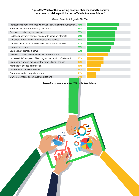#### **Figure 26: Which of the following has your child managed to achieve as a result of visits/participation in Telerik Academy School?**

(Base: Parents 4-7 grade, N=254)

| Increased his/her confidence when working with computer, Internet. 73% |     |
|------------------------------------------------------------------------|-----|
| Found out what was interesting to him/her                              | 69% |
| Developed his/her logical thinking                                     | 65% |
| Had the opportunity to meet people with common interests               | 64% |
| Got acquainted with new technologies and devices                       | 64% |
| Understood more about the work of the software specialist              | 61% |
| Learned to program                                                     | 55% |
| Learned how to make a game                                             | 52% |
| Developed his/her skills for safe use of the Internet                  | 47% |
| Increased his/her speed of learning and perception of information      | 38% |
| Learned to plan and implement their own (digital) project              | 38% |
| Managed to choose a profession                                         | 33% |
| Learned how to make a website                                          | 29% |
| Can create and manage databases                                        | 21% |
| Can create mobile or computer applications                             | 21% |

**Source: Survey among parents of TAS students and alumni**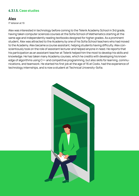## **4.3.1.5. Case studies**

## **Alex**

IT Veteran at 19

Alex was interested in technology before coming to the Telerik Academy School in 3rd grade, having taken computer sciences courses at the Sofia School of Mathematics starting at the same age and independently reading textbooks designed for higher grades. As a prominent student, Alex was attracted to the Academy by one of his Sofia School teachers who had moved to the Academy. Alex became a course assistant, helping students having difficulty. Alex conscientiously took on the role of assistant lecturer and helped anyone in need. He reports that his participation as an assistant teacher at Telerik helped him the most to develop his skills and knowledge. He has taken many Academy courses, which he credits with developing his knowledge of algorithms using C++ and competitive programming, but also skills for learning, communications, and teamwork. He started his first job at the age of 16 at Codix, had the experience of technology internships, and is now a student at Technical University-Sofia.

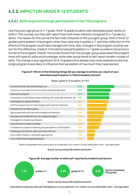## <span id="page-31-0"></span>**4.3.2. IMPACT ON GRADE 8-12 STUDENTS**

## **4.3.2.1. Skills acquired through participation in the TAS programs**

Like the junior age group of 4-7 grade, the 8-12 grade students also developed great variety of skills in TAS courses, but they self-report them with lower intensity compared to 4-7 grade students. The reason for this can be the fact that compared to the youngest group, 55% of the 8-12 graders participated in the program when they were only in grades 4-7, and their reflection on the effects of the program could have changed with time. Also, changes in the program could be reason for this difference. Grade 8-12 students had participated in 4-7 grade courses in the previous format of the program. Overall, the survey shows that the younger group associates the program more with specific skills and knowledge, while older group tends to self-report smaller number of skills. The change is less significant for 8-12 graders who already have more experience and one single program is less likely to influence their perception of how much they have learned.

#### **Figure 27: Which of the following things did you manage to achieve as a result of your attendance/participation in Telerik Academy School?**

| i found out what was interesting to me                               | 63% |
|----------------------------------------------------------------------|-----|
| I found out more about the work of the software specialist           | 54% |
| I learned to program                                                 | 52% |
| I increased my confidence when working with computer, Internet, etc. | 51% |
| I developed my logical thinking                                      | 49% |
| I had the opportunity to meet people with common interests           | 46% |
| I learned how to make a game                                         | 45% |
| I got acquainted with new technologies and devices                   | 39% |
| I can plan and implement my own (digital) project                    | 37% |
| I managed to choose a profession                                     | 34% |
| I learned how to make a website                                      | 32% |
| I increased my speed of learning and perception of information       | 28% |
| I developed my skills for safe use of the Internet                   | 19% |
| I can create mobile or computer applications                         | 17% |
| I can create and manage databases                                    | 16% |

(Base: grade 8-12 students, N=151)

Share of respondents who score 5 and 4 on a scale from 1 to 5, where 1 is a very small extent, and 5 - very high extent

#### **Source: Survey among TAS students and alumni**



**Calculations include only skills self-evaluated as 4 or 5 on a scale from 1 to 5, where 1 is a very small extent, and 5 - very high extent**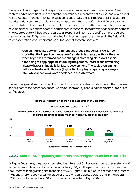These results also depend on the specific courses attended and the courses offered (their content and composition), and the number of attendees in each type of course, and which exact years students attended TAS<sup>4</sup>. So, in addition to age group, the self-reported skills results are also dependent on the curriculum and learning content that was offered for different cohorts when and where. For example, the game development course was the main contributor for game development skills, and the share of participants in these courses determined the share of those who reported this skill. Besides the particular responses in terms of specific skills, the survey clearly shows that TAS program contributed for discovering personal interest in the field of IT, career orientation, and understanding of the work of software specialist.

> **Comparing results between different age groups and cohorts, we can conclude that the impact on the grade 4-7 students is greater, as this is the age when key skills are formed and the change is more tangible, as well as this time being the tipping point in forming the personal interest and developing a base of programing skills for future development. The basic programing skills are developed in this age (logical thinking, key programing languages, etc.) while specific skills are developed in the later years.**

The knowledge and skills obtained from the TAS program are also transferable to other courses and projects at the secondary school where students study or studied in more than 50% of cases. (Figure 29)



#### **Figure 29: Application of knowledge acquired in TAS programs**

(Base: grade 8-12 students, N=151)

### **To what extent do/did you use what you learned in Telerik Academy School at various courses and projects at the secondary school where you study or studied?**

**4.3.2.2. Role of TAS for pursuing secondary and/or higher education in the IT field** 

As Figure 30c shows, the program boosted the interest of 8-12 graders in computer systems and technologies in class or extracurricular activities (87%) and helped them realize or strengthen their interest in programing and technology (96%, Figure 30b), but only affected to small extent the plans where to apply after 7th grade of those who participated before that in the program (32% - "did not affected" and 46% - "to small or some extent", Figure 30a).

4 As the offering of TAS courses change in time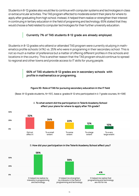Students in 8-12 grades also would like to continue with computer systems and technologies in class or extracurricular activities. The TAS program affected to moderate extent their plans for where to apply after graduating from high school. Instead, it helped them realize or strengthen their interest in continuing in tertiary education in the field of programing and technology. 65% stated that they would choose a field related to computer technologies for their further university education.

## **Currently 7% of TAS students 8-12 grade are already employed.**

Students in 8-12 grades who attend or attended TAS program were currently studying in mathematics profile schools (41%) vs. 25% who were in programing in their secondary school. This is not so much a matter of preference but a matter of offering different profiles in the schools and locations in the country. This is another reason that the TAS program should continue to spread to regional and other towns and provide access to IT skills for young people.

### **66% of TAS students 8-12 grades are in secondary schools with profile in mathematics or programing.**

#### **Figure 30: Role of TAS for pursuing secondary education in the IT field**

(Base: 8-12 grade students, N=151), base a: grades 8-12 who participated in 4-7 grade courses, N=108)



#### A. **To what extent did the participation in Telerik Academy School affect your plans for where to apply after 7th grade?**

B. **How did your participation in the Telerik Academy School affect you?**

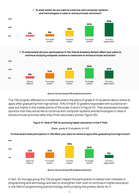### C. **To what extent do you want to continue with computer systems and technologies in class or extracurricular activities?**



#### D. **To what extent did your participation in the Telerik Academy School affect your plans to continue studying computer science in classroom or extracurricular activities?**



#### **Source: Survey among TAS students and alumni**

The TAS program affected to a moderate extent the plans of grade 8-12 students about where to apply after graduating from high school. 70% of the 8-12 graders responded with a positive answer but mainly in the middle points of the scale (3 and 4 in Figure 31). They expressed stronger opinions that they would like to continue with computer systems and technologies in class or extracurricular activities after they finish secondary school, Figure 30c.

#### **Figure 31: Role of TAS for pursuing higher education in the IT field**



## **To what extent does participation in TAS affect your plans for where to apply after graduating from high school?**



**Source: Survey among TAS students and alumni**

In fact, for this age group the TAS program helped the participants to realize their interests in programming and technology and also to strengthen their wish to continue in higher education in the field of programming and technology without being the primary factor for it.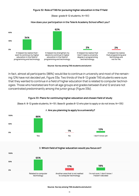#### **Figure 32: Role of TAS for pursuing higher education in the IT field**

(Base: grade 8-12 students, N=151)

#### **How does your participation in the Telerik Academy School affect you?**



**Source: Survey among TAS students and alumni**

In fact, almost all participants (88%) would like to continue in university and most of the remaining 12% have not decided yet, Figure 33a. Two thirds of the 8-12 grade TAS students were sure that they wanted to continue in a field of higher education that is related to computer technologies. Those who hesitated are from all age groups and grades between 8 and 12 and are not concentrated predominantly among the junior group (Figure 33b).

#### **Figure 33: Plans for continuing higher education and chosen field of study**

(Base A: 8-12 grade students, N=151; Base B: grades 8-12 who plan to apply or do not know, N=135)



#### A. **Are you planning to apply to a university?**



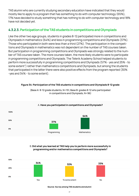TAS alumni who are currently studying secondary education have indicated that they would mostly like to apply to a program that has something to do with computer technology (65%), 17% have decided to study something that has nothing to do with computer technology and 18% have not decided yet.

## **4.3.2.3. Participation of the TAS students in competitions and Olympiads**

Like the other two age groups, students in grades 8-12 participated more in competitions and Olympiads in mathematics (64%) and less in programming competitions and Olympiads (37%). Those who participated in both were less than a third (27%). The participation in the competitions and Olympiads in mathematics was not dependent on the number of TAS courses taken. But participation in programming competitions and Olympiads was strongly related to the number of TAS courses taken. The more courses taken, the more likely students were to participate in programming competitions and Olympiads. The Telerik Academy School helped students to perform more successfully in programming competitions and Olympiads (57% - yes and 25% - to some extent") rather than mathematics competitions and Olympiads, but among the students that participated in the latter there were also positive effects from the program reported (30% -yes and 34% - to some extent).

## **Figure 34: Participation of the TAS students in competitions and Olympiads 8-12 grade**



(Base A: 8-12 grade students, N=151, Base B: grades 8-12 who participated in competitions and Olympiads, N=96)

## B. **Did what you learned at TAS help you to perform more successfully in programming and/or mathematics competitions and Olympiads?**



**Source: Survey among TAS students and alumni**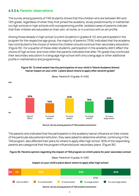## **4.3.2.4. Parents' observations**

The survey among parents of TAS students shows that the children who are between 8th and 12th grade, regardless of when they first joined the academy, study predominantly in mathematics high schools or high schools with a programming profile. Isolated cases of parents indicate that their children are educated on their own, at home, or in a school with an art profile.

Among those already in high school (current students in grades 8-12) who participated in the program for the respective age group, the majority of parents (75%) indicated that the academy has contributed to the choice of where the children should continue their secondary education (Figure 35). For a quarter of these older students, participation in the academy didn't affect the choice of high school, and most often the parents indicated that after 7th grade they continued their secondary education in a language high school with only a language or other additional profile in mathematics and programming.



**Figure 35: To what extent has the participation of your child in Telerik Academy School had an impact on your child`s plans about where to apply after seventh grade?** 

**Source: Survey among parents of TAS students and alumni**

The parents who indicated that the participation in the academy had an influence on their choice of the particular educational institution, they were asked to determine whether, continuing in the TAS program, also affected their plans for where to apply after high school. 90% of the responding parents are categorical that the program influenced post-secondary plans. (Figure 36).

## **Figure 36: Parents opinion regarding the impact of TAS program on child's plans for post-secondary school**

(Base: Parents 8-12 grade, N=235)

## **Impact on your child's plans about where to apply after high school**

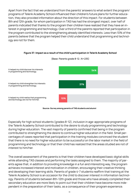Apart from the fact that we understand from the parents' answers to what extent the program/ programs of Telerik Academy School influenced their children's future plans for further education, they also provided information about the direction of this impact. For students between 8th and 12th grade, for whom participation in TAS has had the strongest impact, over half of parents indicated that thanks to the program their children have realized that they have an interest in programming and technology. Over a third of the parents reported that participation in the program contributed to the strengthening already identified interests. Less than 10% of the parents believe that the program helped their child understand that programming and technology are not for them.



### **Figure 37: Impact as a result of the child's participation in Telerik Academy School**

**Source: Survey among parents of TAS students and alumni**

Especially for high school students (grades 8-12), inclusion in age-appropriate programs of the Telerik Academy School contributed to the desire to study programming and technology during higher education. The vast majority of parents confirmed that being in the program contributed to strengthening the desire to continue higher education in the field. Small percentages of cases reported that participation in the training modules convinced the student that there is no need for higher education to be successful on the labor market in the field of programming and technology or that their child has realized that the areas studied are not of interest to him/her.

The overall assessment of the parents is that their children have developed basic digital skills while attending TAS classes and performing the tasks assigned to them. The majority of parents agree that, in addition to providing knowledge in a fun and interesting way, the program achieves increased interest and motivation in children, encouraging their creative thinking and developing their learning skills. Parents of grade 4-7 students reaffirm that training at the Telerik Academy School is an occasion for the child to discover interest in information technology. Parents of students between 8th-12th grade and those who have already completed their secondary education are more likely to point out that their children have become more independent in the preparation of their tasks, as a consequence of their program experience.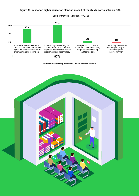(Base: Parents 8-12 grade, N=235)

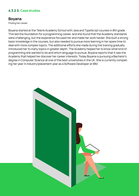## **4.3.2.5. Case studies**

## **Boyana**

Finding her career

Boyana started at the Telerik Academy School with Java and TypeScript courses in 8th grade. This laid the foundation for a programming career, and she found that the Academy standards were challenging, but the experience focused her and made her work harder. She built a strong basic knowledge in the courses, but also needed to pursue more learning in her spare time to deal with more complex topics. The additional efforts she made during the training gradually introduced her to many topics in greater depth. The Academy helped her to know what kind of programming she wanted to do and which language to pursue. Boyana reports that it was the Academy that helped her discover her career interests. Today Boyana is pursuing a Bachelor's degree in Computer Science at one of the best universities in the UK. She is currently completing her year in industry/placement year as a Software Developer at IBM.

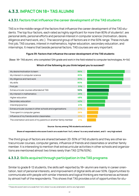# **4.3.3. IMPACT ON 18+ TAS ALUMNI**

## **4.3.3.1. Factors that influence the career development of the TAS students**

TAS is in the middle range of the factors that influence the career development of the TAS students. The top four factors, each rated as highly significant for more than 80% of students<sup>5</sup>, are personal skills, personal efforts and personal interest in computer science (motivation, desire, diligence and hard work, etc.). The second group of factors are in the 50% range. These include first job, TAS courses, interest in mathematics, higher education, secondary education, and internships. It means that beside personal factors, TAS courses are very important.

## **Figure 39: Factors that influence the career development of the TAS students**

(Base: 18+ TAS alumni, who completed 12th grade and work in the field related to computer technologies, N=54)

| My desire/motivation to learn                                   | 86% |
|-----------------------------------------------------------------|-----|
| My interest in computer science                                 | 83% |
| My diligence and hard work                                      | 83% |
| My skills                                                       | 80% |
| First job                                                       | 51% |
| Extracurricular courses attended at TAS                         | 50% |
| My interest in mathematics                                      | 49% |
| Higher education                                                | 48% |
| Secondary education                                             | 42% |
| Intership/practice                                              | 41% |
| Extracurricular courses in other schools and organisations      | 27% |
| Time spent in computer games                                    | 26% |
| Influence of my friends and/or classmates                       | 23% |
| The orientation and work of my parents or another family member | 21% |

## **Which of the following do you think helped you to succeed?**

### **Source: Survey among TAS students and alumni**

**Share of respondents who score 5 and 4 on a scale from 1 to 5, where 1 is a very small extent, and 5 - very high extent**

The third group of factors are shared between 20-30% of TAS students and they are other extracurricular courses, computer games, influence of friends and classmates or another family member. It is interesting to mention that extracurricular activities in other schools and organizations are mentioned almost two times rarely than TAS (27%/50%).

## **4.3.3.2. Skills acquired through participation in the TAS programs**

Similar to grade 8-12 students, the skills self-reported by 18+ alumni are mainly in career orientation, test of personal interests, and improvement of digital skills all over 50%. Opportunities to communicate with people with similar interests and logical thinking are mentioned as achieved by almost half of the respondents. This shows that TAS provides a lot of opportunities for stu-

<sup>5</sup> Those who score 5 and 4 on a scale from 1 to 5, where 1 is a very small extent, and 5 is very high extent.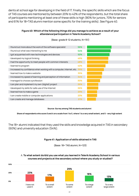dents at school age for developing in the field of IT. Finally, the specific skills which are the focus of TAS courses are mentioned by between 20% to 42% of the respondents, but the total share of participants mentioning at least one of these skills is high (80% for juniors, 70% for seniors and 61% for 18+TAS alumni mention some specific for the training skills). See Figure 40.

## **Figure 40: Which of the following things did you manage to achieve as a result of your attendance/participation in Telerik Academy School?**

| I found out more about the work of the software specialist             | 56% |
|------------------------------------------------------------------------|-----|
| I found out what was interesting to me                                 | 54% |
| I got acquainted with new technologies and devices                     | 52% |
| I developed my logical thinking                                        | 49% |
| I had the opportunity to meet people with common interests             | 48% |
| I learned to program                                                   | 42% |
| I increased my confidence when working with a computer, Internet, etc. | 39% |
| l learned how to make a website                                        | 35% |
| I increased my speed of learning and perception of information         | 34% |
| I managed to choose a profession                                       | 30% |
| I can plan and implement my own (digital) project                      | 26% |
| I developed my skills for safe use of the Internet                     | 26% |
| I learned how to make a game                                           | 23% |
| I can create mobile or computer applications                           | 23% |
| I can create and manage databases                                      | 21% |

(Base: grade 8-12 students, N=151)

### **Source: Survey among TAS students and alumni**

**Share of respondents who score 5 and 4 on a scale from 1 to 5, where 1 is a very small extent, and 5 - very high extent**

The 18+ alumni indicated that they used the skills and knowledge acquired in TAS in secondary (60%) and university education (54%).

### **Figure 41: Application of skills obtained in TAS**

(Base: 18+ TAS alumni, N=123)



## A. **To what extent do/did you use what you learned in Telerik Academy School in various courses and projects at the secondary school where you study or studied?**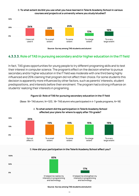

## B. **To what extent do/did you use what you have learned in Telerik Academy School in various courses and projects at a university where you study/studied?**

**Source: Survey among TAS students and alumni**

## **4.3.3.3. Role of TAS in pursuing secondary and/or higher education in the IT field**

In fact, TAS gives opportunities for young people to try different programing skills and to test their interest in computer science. The program's effect on the decision whether to pursue secondary and/or higher education in the IT field was moderate with one third being highly influenced and 25% claiming that program did not affect their choice. For some students this decision is apparently more influenced by other factors, such as parents' interests, student predispositions, and interests before their enrolment. The program had a strong influence on students' realizing their interests in programing.

## **Figure 42: Role of TAS for pursuing secondary education in the IT field**

(Base: 18+ TAS alumni, N=123), 18+ TAS alumni who participated in 4-7 grade programs, N=18)



## A. **To what extent did the participation in Telerik Academy School affected your plans for where to apply after 7th grade?**

### B. **How did your participation in the Telerik Academy School affect you?**



**Source: Survey among TAS students and alumni**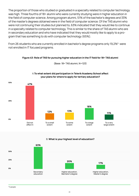The proportion of those who studied or graduated in a specialty related to computer technology was high. Three fourths of 18+ alumni who were currently studying were in higher education in the field of computer science. Among program alumni, 51% of the bachelor's degrees and 33% of the master's degrees obtained were in the field of computer science. Of the TAS alumni who were not continuing their studies but planned to, 63% indicated that they would like to continue in a specialty related to computer technology. This is similar to the share of TAS alumni who are in secondary education and who have indicated that they would mostly like to apply to a program that has something to do with computer technology (65%).

From 26 students who are currently enrolled in bachelor's degree programs only 19,2%<sup>6</sup> were not enrolled in IT focused programs.

## **Figure 43: Role of TAS for pursuing higher education in the IT field for 18+ TAS alumni**



(Base: 18+ TAS alumni, N=123)

# A.**To what extent did participation in Telerik Academy School affect**

## **your plans for where to apply for tertiary education?**

B. **What is your highest level of education?**

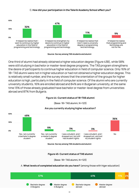### C. **How did your participation in the Telerik Academy School affect you?**



**Source: Survey among TAS students and alumni**

One third of alumni had already obtained a higher education degree (Figure 43B), while 58% were still studying in bachelor or master-level degree programs. The TAS program strengthens the desire of participants to continue higher education in field of computer science. Only 16% of 18+ TAS alumni were not in higher education or had not obtained a higher education degree. This is relatively small number, and the survey shows that the orientation of the groups for higher education is high, particularly in the field of computer science. Of the alumni who are currently university students, 16% are enrolled abroad and 84% are in Bulgarian university, at the same time 13% of those already graduated have bachelor or master-level degree from universities abroad and 87% from Bulgaria.

### **Figure 44: Current status of 18+TAS alumni**

(Base: 18+ TAS alumni, N=123)



### **Are you currently studying higher education?**

**Source: Survey among TAS students and alumni**



(Base: 18+ TAS alumni, N=123)

### A. **What levels of completed education do you have?** (among those with higer education)

| 57%                            | 41%                          |                           | 11%                     | 2% |  |
|--------------------------------|------------------------------|---------------------------|-------------------------|----|--|
| Bachelor degree<br>in Bulgaria | Master degree<br>in Bulgaria | Bachelor degree<br>abroad | Master degree<br>abroad |    |  |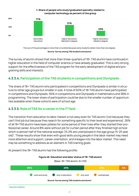## B. **Share of people who study/graduated specialty related to computer technology аs percent of the group**



The sum of the percentages is more than a hundred because some students obtain more than one degree. **Source: Survey among TAS students and alumni**

The survey of alumni shows that more than three-quarters of 18+ TAS alumni have continued in higher education in the field of computer science or have already graduated. This is very strong support for the effectiveness of the TAS program for the early development of digital and programing skills and interests.

## **4.3.3.4. Participation of the TAS students in competitions and Olympiads**

The share of 18+ TAS alumni who participated in competitions and Olympiads is similar in structure to other age groups but smaller in size. A total of 60% of 18+TAS alumni have participated in competitions and Olympiads; 56% in competitions and Olympiads in mathematics and 38% in programming. The lower share of participation could be due to the smaller number of opportunities available when these cohorts were of school age.

## **4.3.3.5. Role of TAS for a career in the IT field**

The transition from education to labor market is not easy even for TAS alumni (not because they can't find job but because they search for something specific to their level and experience). 26% of all 18+TAS alumni have been jobless for some period of their lives after they started their professional career. Around 8% were without job for curtain period after they finished high school which is almost half of the national average (15.2% are unemployed in the age group 15-25 year old)7 . These results show that even with good skills young people in the labor market may need more attention and support, career orientation, and linkages into the labor market. This need may be something to address as an element in TAS training goals.

At present the 18+ TAS alumni has the following profile:

## **Figure 46: Education and labor status of 18+ TAS alumni**

(Base: 18+ TAS alumni, N=123)



<sup>7</sup> <https://bit.ly/3iBkvkS>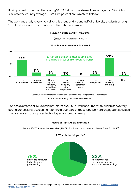It is important to mention that among 18+ TAS alumni the share of unemployed is 6% which is similar to the country average 6.3%<sup>8</sup>. One percent are in maternity leave.

The work and study is very typical for this group and around half of University students among 18+ TAS alumni work which is close to the national average<sup>9</sup>.

## **Figure 47: Status of 18+ TAS alumni**

(Base: 18+ TAS alumni, N=123)

## **What is your current employment?**



Some 18+TAS alumni are in two positions – employee and entrepreneurs or freelancers.

**Source: Survey among TAS students and alumni**

The achievements of TAS alumni are impressive – 65% work and 58% study, which shows very strong professional development for the group. 78% of those who work are engaged in activities that are related to computer technologies and programming.

## **Figure 48: 18+ TAS alumni status**

(Base a: 18+TAS alumni who worked, N=69, Employed or in maternity leave, Base B:, N=53)



A. **What is the job you do?** 

8 NSI, Unemployed and unemployment rates of population aged 15 years and over for the first quarter of 2021<https://bit.ly/3iBkvkS> <sup>9</sup><https://rsvu.mon.bg/rsvu4/#/>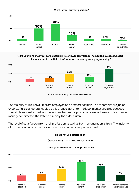### B. **What is your current position?**



## C. **Do you think that your participation in Telerik Academy School helped the successful start of your career in the field of information technology and programming?**



**Source: Survey among TAS students and alumni**

The majority of 18+ TAS alumni are employed on an expert position. The other third are junior experts. This is understandable as this groups just enter the labor market and also because their skills suggest expert work. A few reached senior positions or are in the role of team leader, manager or director. The latter are mainly the elder alumni.

The level of satisfaction from their profession as well as from remuneration is high. The majority of 18+ TAS alumni rate them as satisfactory to large or very large extent.

### **Figure 49: Job satisfaction**

(Base: 18+TAS alumni who worked, N=69)

## A. **Are you satisfied with your profession?**

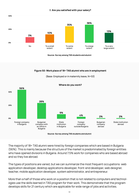

B. **Are you satisfied with your salary?**

**Source: Survey among TAS students and alumni**

## **Figure 50: Work place of 18+ TAS alumni who are in employment**

(Base: Employed or in maternity leave, N=53)



**Source: Survey among TAS students and alumni**

The majority of 18+ TAS alumni were hired by foreign companies which are based in Bulgaria (56%). This is mainly because the structure of the market is predominated by foreign entities who have opened divisions in Bulgaria. Around 7.5% work for companies who are based abroad and so they live abroad.

The types of positions are varied, but we can summarize the most frequent occupations: web application developer, desktop applications developer, front-end developer, web designer, teacher, mobile application developer, system administrator, and entrepreneur.

More than a half of those who work on a position that is not related to computers and technologies use the skills learned in TAS program for their work. This demonstrate that the program develops skills for 21 century which are applicable for wide range of jobs and activities.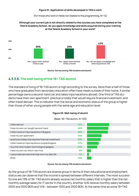### **Figure 51: Application of skills developed in TAS in work**

(For those who work in fields not related to the programming, N=14)

## **Although your current job is not directly related to the courses you have completed at the Telerik Academy School, do you apply knowledge and skills acquired during your training at the Telerik Academy School in your work?**





## **4.3.3.6. The well-being of the 18+ TAS alumni**

The standard of living of 18+TAS alumni is high according to the survey. More than a half of those who have graduated from secondary education often have meals outside of their home. A similar percentage owns a second-hand car and takes trips/vacations abroad. One third of TAS students have their own apartment, practice a hobby that would require financial investment, and often travel abroad. This is indicator that the social and economic status of the group is higher than those of other young people with the same age and education level.

### **Figure 52: Well-being of alumni**

(Base: 18+ TAS alumni, N=123)



**Source: Survey among TAS students and alumni**

As the group of 18+TAS alumni are diverse group in terms of their educational and employment status we can observe that the income is spread between different intervals. The most successful one are 13% of 18+ TAS alumni already receive net monthly salary that is higher than the net monthly average salary for IT sector in the country. Another 14% receive monthly salary between 2500 and 3500 BGN and 14% - between 1500 and 2500 BGN. At the same time as some 18+TAS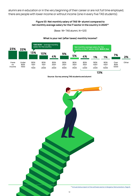alumni are in education or in the very beginning of their career or are not full time employed, there are people with lower income or without income (one in every five TAS students).

## **Figure 53: Net monthly salary of TAS 18+ alumni compared to net monthly average salary for the IT sector in the country in 202010**

(Base: 18+ TAS alumni, N=123)

#### **1% 23%** I have no income **4%** BGN 2001 — 2500 **22%** Under BGN 1000 **9%** BGN 2501 — 3000 **13%** BGN 1001 — 1500 **5%** BGN 3001 — 3500 **10%** BGN 1501 — 2000 **4% 1% 7% 2%** BGN 3501 — 4000 BGN 4501 — 5000 BGN 4001 — 4500 Over BGN 5000 Net monthly average salary for the country in the IT sector 2020: **BGN 3,344 1083 BGN** — average monthly salary for the country

## **What is your net (after taxes) monthly income?**

**13%**

**Other** 

**Source: Survey among TAS students and alumni**

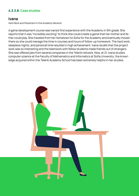## **4.3.3.8. Case studies**

## **Ivana**

Hard Work and Placement in the Academy Network

A game development course was Ivana's first experience with the Academy in 9th grade. She reports that it was "incredibly exciting" to think she could create a game that her mother and father could play. She traveled from her hometown to Sofia for the Academy and eventually moved there so she could manage the time in courses and hours of follow-up homework. The hard work, sleepless nights, and personal time resulted in high achievement. Ivana recalls that the project work was so interesting and the teamwork with fellow students made friends out of strangers. She was offered jobs from several companies in the Telerik network. Now, at 21, Ivana studies computer science at the Faculty of Mathematics and Informatics at Sofia University; the knowledge acquired within the Telerik Academy School has been extremely helpful in her studies.

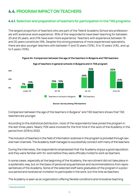# **4.4. PROGRAM IMPACT ON TEACHERS**

## **4.4.1. Selection and preparation of teachers for participation in the TAS programs**

The largest proportion of teachers who are part of the Telerik Academy School are professionals with extensive work experience: 35% of the respondents have been teaching for between 20 and 25 years, and 21% have even more experience. Teachers with experience between 16 and 20 years constitute 19%. Despite this strong presence of more experienced specialists, there are also younger teachers with between 11 and 15 years (10%), 6 to 10 years (4%), and up to 5 years (10%).



**Figure 54: Comparison between the age of the teachers in Bulgaria and TAS teachers**

**Age of teachers in general schools in Bulgaria and in TAS program**

**Source: Survey among TAS teachers**

Comparison between the age of the teachers in Bulgaria<sup>11</sup> and TAS teachers shows that TAS teachers are younger.

According to the statistical distribution, most of the respondents have joined the program in the last three years. Nearly 75% were involved for the first time in the work of the Academy in the period from 2018 to 2020.

The inclusion of teachers in the field of information sciences in the program is provided through several main channels. The Academy itself manages to successfully connect with many of the teachers.

During the interviews, the respondents emphasized that the Academy enjoys a good reputation and they were familiar with its' work before they were officially invited to work as teachers.

In some cases, especially at the beginning of the Academy, the recruitment did not take place in a systematic way, but on the basis of personal acquaintances and recommendations from representatives of the Academy. Some of the selected staff were graduates of the program in a previous period and received an invitation to participate in the work, but this time as teachers.

The Academy is seen as an organization offering flexible conditions and innovative teaching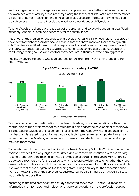methodologies, which encourage respondents to apply as teachers. In the smaller settlements the awareness of the activity of the Academy among the teachers of informatics and mathematics is also high. The main reason for this is the undeniable success of the students who have completed courses in it, who take first places in various competitions and Olympiads.

Teachers' goals are aligned with the goals of the program and believe that opening local Telerik Academy Schools is useful and necessary for the communities.

The effect of the program on the professional development and skills of teachers is measured by the extent to which teachers themselves believe that they have improved their teaching methods. They have identified the most valuable pieces of knowledge and skills they have acquired or improved. A crucial part of the analysis is the identification of the goals that teachers set for conducting training courses and whether they encounter difficulties in the learning process.

Тhe study covers teachers who lead courses for children from 4th to 7th grade and from 8th to 12th grade.



**Figure 55: What courses have you taught in TAS?**

**Source: Survey among TAS teachers**

Teachers consider their participation in the Telerik Academy School as beneficial both for their contribution to the development of children in the IT field and for the development of their own skills as teachers. Most of the respondents reported that the Academy has helped them form a number of skills related to teaching methods and techniques, as well as to update their existing knowledge. The Academy achieves very high levels of satisfaction with training and support provided to teachers.

Those who went through teacher training at the Telerik Academy School in 2019 recognized the positive effect of it to a very large extent. About 78% were extremely satisfied with the training. Teachers report that the training definitely provided an opportunity to learn new skills. The average score teachers give for the degree to which they agree with the statement that they have developed new skills as a result of the training is 9.10 on a scale from 1 to 10. This shows very high levels of impact of the program on the teaching staff. During a survey for the academic period from 2017 to 2018, 93% of the surveyed teachers stated that the influence of TAS on their teaching quality is very positive.

According to the data obtained from a study conducted between 2019 and 2020, teachers in informatics and information technology, who have work experience in the profession between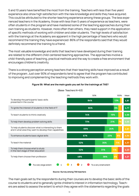5 and 10 years have benefited the most from the training. Teachers with less than five years' experience also show high satisfaction with the new knowledge and skills they have acquired. This could be attributed to the shorter teaching experience among these groups. The less experienced teachers in the Academy, those with less than 5 years of experience as teachers, were often students in the program and have mastered some of the teaching approaches during their own training as students. However, more often than others, they need support in the application of specific methods of working with children and older students. The high levels of satisfaction with the trainings at the Academy are apparent in the high percentage of teachers who would recommend the training they have experienced: 86% of the respondents said that they would definitely recommend the training to a friend.

The most valuable knowledge and skills that teachers have developed during their training are related to the different child-centered teaching approaches. The approaches involve a child-friendly pace of teaching, practical methods and the way to create a free environment that encourages children's creativity.

There is a strong perception among teachers that their teaching skills have improved as a result of the program. Just over 90% of respondents tend to agree that the program has contributed to improving and complementing the teaching methods they work with.



# **Figure 56: What are the main goals you set for the trainings at TAS?**

### **Source: Survey among TAS teachers**

The main goals set by the respondents during their courses are to develop the basic skills of the course to students and to generally ignite children's interest in information technology. Teachers are asked to assess the extent to which they agree with the statements regarding the goals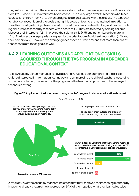they set for the training. The above statements stand out with an average score of 4.8 on a scale from 1 to 5, where 1 is "To a very small extent" and 5 "To a very large extent". Teachers who teach courses for children from 4th to 7th grade agree to a higher extent with those goals. The tendency for stronger recognition of the goals among this group of teachers is maintained in relation to the other listed goals. Objectives related to the education of creative thinking and problem-solving skills were assessed by teachers with a score of 4.7. They are followed by helping children discover their interests (4.6), improving their digital skills (4.5) and transmitting the material (4.4). The lowest average grades are given for the orientation of children in education (4.2) and their careers (4.2). However, the average grades exceed 3, which means that more than half of the teachers set these goals as well.

# **4.4.2. LEARNING OUTCOMES AND APPLICATION OF SKILLS ACQUIRED THROUGH THE TAS PROGRAM IN A BROADER EDUCATIONAL CONTEXT**

Telerik Academy School manages to have a strong influence both on improving the skills of children interested in information technology and on improving the skills of teachers. According to the data obtained, the impact of the program on the teaching approaches of the surveyed teachers is strong.



(Base: Teachers N=63)

**Figure 57: Application of skills acquired through the TAS program in a broader educational context** 

A total of 91% of the Academy teachers indicated that they improved their teaching methods by improving already known or new approaches. 94% of them applied what they learned outside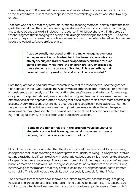the Academy, and 87% assessed the acquired and mastered methods as effective. According to the selected data, 38% of teachers applied them to a "very large extent" and 49% "to a large extent".

Teachers who believe that they have improved their teaching methods, point out that the main goals they set during their courses are to ignite students' interest in information technology and to develop the basic skills included in the course. The highest share within this group of teachers agreed that managing to develop a child's logical thinking is the first goal. Due to the program, they also increase their confidence in working with computer/internet and learn more about the work of software professionals.

> **"I was personally impressed, and I try to implement game elements in the process of work. As a teacher in Mathematics, which is a relatively dry subject, I rarely have the opportunity and time for such game elements, while here the children are very impressed by these elements in the process of training. This is something that I have not used in my work so far and which I find very useful."**

Both the quantitative and qualitative research show that the respondents used the gamification approach in their work outside the Academy more often than other methods. This method is considered as extremely useful for motivating students' interest and retention for every age group. And it is applied relatively easily outside the program. Teachers interviewed praised the effectiveness of this approach, often believing that it had helped them create more entertaining lessons, even with lessons that are more theoretical and could easily bore students. The most frequently specific activities mentioned during the interviews are related to mind maps and memorization through associations. The modules offered at the Academy: "Accelerated learning" and "Digital literacy" are also often used outside the Academy.

> **"Some of the things that are in the program would be useful for students, such as fast learning, memorizing numbers with associations, mind maps, association with colors…"**

Most of the respondents indicated that they have improved their teaching skills by mastering an approach that includes setting tasks that provoke students' thinking. This approach involves setting a task that is difficult to solve with existing knowledge and skills or requires the discovery of a specific technical knowledge. The approach does not exclude the participation of teachers, but relies more on discussions until the right solution is found by students themselves. During interviewing, teachers shared that they often relied on the development of students' Internet search skills. This is defined as a key ability that is especially valuable for the IT field.

The next skills that teachers have improved are related to project-based learning. Assigning individual and group projects is considered extremely useful for students by TAS teachers. According to the interviewed teachers, this type of work provides a good measure of each child's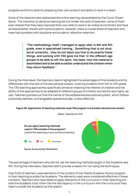progress and forms skills for preparing their own product and ability to work in a team.

Some of the teachers also addressed the online learning necessitated by the Covid-19 pandemic. The transition to distance learning did not hinder the work of teachers, some of them even shared that they have improved their own skills to work in an online environment and have achieved better results with some students. However, there is a small share of teachers who have had a problem with discipline and students' attention retention.

> **"The methodology itself I managed to apply later in 8th and 9th grade, even in specialized training… Something that is not studied at university… they do not teach you how to do exactly these things, and working with TAS gave me that. In the different age groups to be able to sift the spirit, the team, how the material is assimilated and to be able to better understand the children when they return feedback."**

During the interviews, the teachers clearly highlighted the advantages of the Academy and its differences with the rest of the educational system, covering students from 4th to 12th grade. The TAS teaching approaches specifically aimed at retaining the interest of children and the ability of the approaches to be adapted to different groups of children and adults was highly valued. Teachers pointed out that the inertia of the established educational system, which follows a precisely defined, unchangeable operational plan, is less effective.



**Figure 58: Application of teaching methods used TAS program in a broader educational context** 

The percentage of teachers who did not use the teaching methods taught in the Academy was 6%. During the interviews, teachers didn't provide a reason for not using the techniques.

Over 64% of teachers used elements of the content of the Telerik Academy School program in their teaching outside the Academy. The elements used were considered effective in these contexts. Teachers who have failed to apply elements of the curriculum in their teaching outside the Academy most often cite the discrepancy in the curriculum with the curriculum they teach outside the Academy as the reason.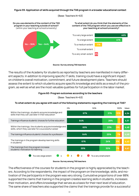### **Figure 59: Application of skills acquired through the TAS program in a broader educational context**

(Base: Teachers N=63)



### **Source: Survey among TAS teachers**

The results of the Academy for students as reported by teachers are manifested in many different aspects. In addition to improving specific IT skills, training could have a significant impact on children's overall motivation, commitment, and future development plans. Teachers should assess the extent to which students acquire specific knowledge and skills as a result of the program, as well as what are the most valuable qualities for full participation in the labor market.

### **Figure 60: Program outcomes according to the teachers**

(Base: Teachers N=63)

### **То what extent do you agree with each of the following statements regarding the training at TAS?**



### **Source: Survey among TAS teachers**

The effectiveness of the courses for students in the program is highly appreciated by the teachers. According to the respondents, the impact of the program on the knowledge, skills, and motivation of the participants in the program was very strong. Cumulative proportions of over 88% supported the claims that training in the program creates learning skills in students, increases their motivation, and offers knowledge that serves as a basis for their next level of education. The same share of teachers also supported the claims that the trainings provide for a successful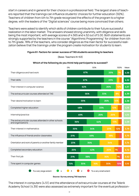start in careers and in general for their choice in a professional field. The largest share of teachers reported that the trainings can influence students' choices for further education (92%). Teachers of children from 4th to 7th grade recognized the effects of the program to a higher degree, with the leaders of the "Digital sciences" course being more convinced than others.

Teachers were asked to identify which skills of children contribute to their future successful realization in the labor market. The answers showed strong unanimity, with diligence and skills being the most important, with average scores of 4.565 and 4.52 out of 5.00. Both statements are strongly supported by the teachers in the course "Algorithmic Programming" for children from 4th to 7th grade. 78% of the teachers, who consider diligence as the main factor for successful realization believe that the trainings under the program create motivation for students to learn.

## **Figure 61: Factors for career success of TAS students according to teachers**

(Base: Teachers N=63)

#### The extracurricular courses attended in other schools and organisations Completed secondary education Time spent in computer games Their desire/motivation to learn Their skills Their interest in mathematics Their first job Completed higher education The influence of friends and/or classmates The extracurricular courses attended at TAS Their interest in computer science Internship/practice Orientation and work of parents or another family member To a very large extent  $\begin{array}{|c|c|c|c|c|c|}\n\hline\n\end{array}$  4  $\begin{array}{|c|c|c|c|}\n\hline\n\end{array}$  3  $\begin{array}{|c|c|c|}\n\hline\n\end{array}$  To a very small extent 0% 50% 100% Mean 4 3 2 **67% 25% 7% 4,56 4,52 4,51 4,39 4,38 4,18 3,75 3,74 4,08 3,72 3,10 3,79 3,62 67% 23% 62% 26% 12% 56% 33% 8% 59% 26% 10% 48% 21% 33% 49% 12% 18% 49% 23% 25% 36% 20% 34% 36% 25% 15% 44% 42% 30% 7% 30% 10% 13% 20% 16% 30% 21% 34% 38% 23% 12% 7%** Their diligence and hard work **36%**

### **Which of the following do you think help participants to succeed?**

**Source: Survey among TAS teachers**

The interest in computers (4.51) and the attendance of extracurricular courses at the Telerik Academy School (4.39) were also assessed as extremely important for the eventual profession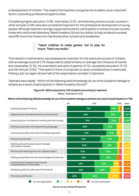al development of children. This means that teachers recognize the Academy as an important factor in providing professional opportunities.

Completing higher education (4.18), internships (4.15), and attending extracurricular courses in other schools (4.08) were also considered important for the professional development of young people. Although teachers strongly supported students' participation in extracurricular courses, those who mentioned attending Telerik Academy School as a factor to help students succeed were 8% more than those who mentioned other schools and Academies.

## **"Teach children to make games, not to play for hours. That's my motto."**

The interest in mathematics was assessed as important for the eventual success of children, with an average score of 3.79. Respondents rated similarly on average the influence of friends and classmates (3.75), the orientation and work of parents (3.74), completed education (3.72) and the first job (3.62). Time spent in front of computers is rarely considered key in eventually finding a job, but again almost half of the respondents consider it important.

Teachers were asked: "Which of the following skills/knowledge do you think students manage to achieve as a result of participation in Telerik Academy School?"

### **Figure 62: Skills acquired by TAS students according to teachers**  (Base: Teachers N=63)

## **Which of the following skills/knowledge do you think students manage to achieve as a result of participation in TAS**

|                                                                        | 0%<br>50%           |                        | 100%      | Mean |
|------------------------------------------------------------------------|---------------------|------------------------|-----------|------|
| Developing logical thinking                                            | 79%                 |                        | 15%       | 4,69 |
| Applying what has been learned in practical tasks                      | 68%                 |                        | 30%       |      |
| Enhancing their confidence in working with technology                  | 75%                 |                        | 20%       |      |
| Getting acquainted with programming languages                          | 69%                 |                        | 25%<br>7% | 4,62 |
| Learning more about the work of software specialist                    | 72%                 |                        | 5%<br>21% | 4,62 |
| Discovering interests                                                  | 61%                 |                        | 33%       |      |
| Meeting and communicating with people<br>with similar interests        | 64%                 |                        | 26%       | 4,49 |
| Planning and realizing their own (digital) project                     | 57%                 |                        | 36%       | 4,46 |
| Getting acquainted with new technologies and devices                   | 59%                 |                        | 30%       | 4,43 |
| Increasing their speed of learning and<br>comprehension of information | 49%                 | 34%                    | 10%       | 4,23 |
| Developing skills for safe use of the Internet                         | 50%                 | 28%                    | 17%       | 4,22 |
| Choosing a profession                                                  | 26%                 | 48%                    | 23%       | 3,95 |
| To a very large extent                                                 | 3<br>$\overline{2}$ | To a very small extent |           |      |

**Source: Survey among TAS teachers**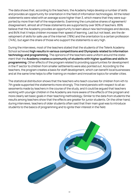The data shows that, according to the teachers, the Academy helps develop a number of skills and provides an opportunity for orientation in the field of information technologies. All the listed statements were rated with an average score higher than 3, which means that they were supported by more than half of the respondents. Examining the cumulative shares of agreement/ disagreement, almost all of these statements are supported by over 90% of teachers. 89% believe that the Academy provides an opportunity to learn about new technologies and devices, and 84% that it helps children increase their speed of learning. Last but not least, are the development of skills for safe use of the Internet (78%) and the orientation to a certain profession (74%), but again the share of those who support the statements is very high.

During the interviews, most of the teachers stated that the students of the Telerik Academy School achieved **high results in various competitions and Olympiads related to information technology and programming.** The opinions of the teachers were uniform around the statement that the **Academy creates a community of students with higher qualities and skills in programming**. Other effects of the program related to providing opportunities for development in the IT sector to children from smaller settlements were also pointed out. According to the teachers, the program creates a basis for staff development, which can benefit local businesses and at the same time helps to offer training on modern and innovative topics for smaller cities.

The statistical distribution shows that the teachers who teach courses for children from 4th to 7th grade supported the statements more strongly. This trend persists with respect to all assessments made by teachers in the course of the study, and it could be argued that teachers working with younger children in the Academy are more aware of the effects of the program and more clearly set basic goals in their teaching methodology. Similar to the data from students the results among teachers show that the effects are greater for junior students. On the other hand, during interviews, teachers of older students often said that their main goal was to introduce students to the basics of programming and to ignite their interest in the field.

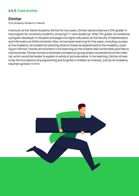## **4.4.3. Case studies**

## **Dimitar**

From Academy Student to Teacher

A lecturer at the Telerik Academy School for two years, Dimitar was enrolled as a 10th grader in the program for university students, studying C++ and JavaScript. After 11th grade, he worked as a program developer in xQuadro and began his higher education at the Faculty of Mathematics and Informatics at Sofia University. Now, he has been teaching for five years, including courses at the Academy. He models his teaching style on those he experienced at the Academy, building an informal, friendly environment in his teaching so the children feel comfortable and free to communicate. Dimitar strives to illustrate concepts by giving simple visualizations of the material, which would be harder to explain in words or pictures alone. In his teaching, Dimitar strives to lay the foundations of programming and to ignite in children an interest, just as his Academy teachers ignited it in him.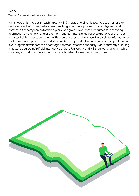# **Ivan**

Teaches Students to be Independent Learners

Ivan showed his interest in teaching early – in 7th grade helping his teachers with junior students. A Telerik alumnus, he has been teaching algorithmic programming and game development in Academy camps for three years. Ivan gives his students resources for accessing information on their own and offers them reading materials. He believes that one of the most important skills that students in the 21st century should have is how to search for information on the Internet and apply it. He asserts that all Academy students can become fully capable Junior level program developers at an early age if they study conscientiously. Ivan is currently pursuing a master's degree in Artificial Intelligence at Sofia University, and will start working for a trading company in London in the autumn. He plans to return to teaching in the future.

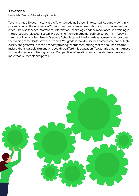# **Tsvetana**

Leader Who Teaches Prize-Winning Students

Tsvetana has a 10-year history at the Telerik Academy School. She started teaching Algorithmic programming at the Academy in 2011 and has been a leader in establishing this course in other cities. She also teaches Informatics, Information Technology, and the modular course training in the professional classes "System Programmer" in the mathematical high school "Kiril Popov" in the city of Plovdiv. When Telerik Academy School started the Game development, she took over the training of students between 8th and 12th grade in Plovdiv. She has commented on the high quality and great value of the Academy training for students, adding that the courses are free, making them available to many who could not afford this education. Tsvetana is among the most successful leaders of the high school Competitive Informatics teams. Her students have won more than 60 medals and prizes.

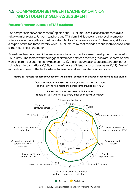# **4.5. COMPARISON BETWEEN TEACHERS' OPINION AND STUDENTS' SELF-ASSESSMENT**

## **Factors for career success of TAS students**

The comparison between teachers` opinion and TAS alumni`s self-assessment shows a relatively similar picture. For both teachers and TAS alumni, diligence and interest in computer science are in the top three most important factors for career success. For teachers, skills are also part of the top three factors, while TAS alumni think that their desire and motivation to learn is the most important factor.

As a whole, teachers give higher assessment for all factors for career development compared to TAS alumni. The factors with the biggest difference between the two groups are Orientation and work of parents or another family member (1,78), the extracurricular courses attended in other schools and organizations (1,52), and the influence of friends and/ or classmates (1,49). Desire/ motivation to learn is the factor where TAS alumni and teachers have similar score.

## **Figure 63: Factors for career success of TAS alumni - comparison between teachers and TAS alumni**

(Base: Teachers N=63, 18+ TAS alumni, who completed 12th grade and work in the field related to computer technologies, N=54)

**Factors for career success of TAS alumni** 



**Source: Survey among TAS teachers and survey among TAS alumni**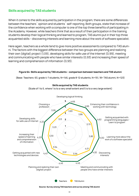## **Skills acquired by TAS students**

When it comes to the skills acquired by participation in the program, there are some differences between the teachers` opinion and students` self-reporting. Both groups, state that increase of the confidence when working with a computer is one of the top three benefits of participating in the Academy. However, while teachers think that as a result of their participation in the training students develop their logical thinking and learned to program, TAS alumni put in their top three acquainted skills – discovering interests and learning more about the work of software specialist.

Here again, teachers as a whole tend to give more positive assessments compared to TAS alumni. The factors with the biggest difference between the two groups are planning and realizing their own (digital) project (1,09), developing skills for safe use of the Internet (0,99), meeting and communicating with people who have similar interests (0,93) and increasing their speed of learning and comprehension of information (0,93).

## **Figure 64: Skills acquired by TAS students – comparison between teachers and TAS alumni**

(Base: Teachers: 63, grade 4-7 students, N=146, grade 8-12 students, N=151, 18+ TAS alumni, N=123)



**Skills acquired by TAS students**

(Scale of 1 to 5, where 1 is to a very small extent and 5 is to a very large extent)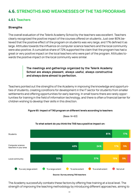# **4.6. STRENGTHS AND WEAKNESSES OF THE TAS PROGRAMS**

## **4.6.1. Teachers**

## **Strengths**

The overall evaluation of the Telerik Academy School by the teachers was excellent. Teachers clearly recognized the positive impact of the courses offered on students. Just over 80% believed that the positive effect of the program on students was very large, and 17% defined it as large. Attitudes towards the influence on computer science teachers and the local community were also positive. A cumulative share of 72% supported the claim that the program has had a great or very positive impact on the local teachers who were part of the program. Attitudes towards the positive impact on the local community were similar.

## **The meetings and gatherings organized by the Telerik Academy School are always pleasant, always useful, always constructive and always done almost to perfection.**

Teachers pointed out the strengths of the Academy in improving the knowledge and opportunities of students, creating conditions for development in the IT sector for students from smaller settlements and offering opportunities for early learning. In small towns there are rarely opportunities for training in the field of information technology, and there is often a financial barrier for children wishing to develop their skills in this direction.



(Base: N=63)



## **To what extent do you think the TAS has a positive impact on:**

The Academy successfully combats these factors by offering free training at a local level. The strength of improving the teaching methodology by introducing different approaches, aiming to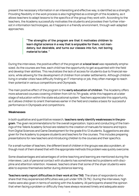present the necessary information in an interesting and effective way, is identified as a strength. Providing flexibility in the work process is also highlighted as a strength of the Academy, as it allows teachers to adapt lessons to the specifics of the group they work with. According to the teachers, the Academy successfully motivates the students and provokes their further interest in information technologies, as it happens in a friendly environment, through well-adapted approaches.

> **"The strengths of the program are that it motivates children to learn digital science in a way that is enjoyable for them, not mandatory, but desirable, and turns our classes into fun, not boring material to take. "**

During the interviews, the positive effect of the program at **a local level** was repeatedly emphasized. As the courses are free, each child has the opportunity to get acquainted with the field and develop their abilities. This neutralizes the lack of access for students due to financial reasons, while allowing for the development of children from smaller settlements. Although children living in smaller cities have difficulty finding an IT internship or job, they often manage to reach their potential in various competitions and Olympiads.

The main positive effect of the program is the **early education of children**. The Academy offers more advanced courses covering children from 4th to 7th grade, while this happens at a later stage of education within the state educational system. Teachers appreciate this opportunity, as it allows children to orient themselves earlier in the field and creates a basis for successful performance in Olympiads and competitions.

## **Weaknesses**

In both qualitative and quantitative research, **teachers rarely identify weaknesses in the program**. The given recommendations for the overall organization, topics and conducting of the trainings of the Telerik Academy School are related to the creation of manuals for lessons and topics from Digital Sciences and Game Development for the grade 8 to 12 students. Suggestions are also given for the Academy to prepare students and teachers for the courses. This includes preparing presentations for new teachers and introducing children to the courses and their specifics.

For a small number of teachers, the different level of children in the groups was also a problem, although most of them shared that with the appropriate methods this problem was quickly overcome.

Some disadvantages and advantages of online teaching and learning are mentioned during the interviews. Lack of personal contact with students has sometimes led to problems with discipline and attention retention. However, teachers share that some of the shyer students were able to express themselves better during distance learning.

**Teachers rarely report difficulties in their work at the TAS**. The share of respondents who share that they experienced difficulties was just under 10% (9.7%). During the interviews, high marks were also given in terms of working with the Academy. All participants shared the opinion that when facing a problem or difficulty they have always received timely and adequate assis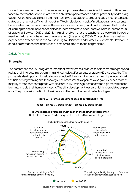tance. The speed with which they received support was also appreciated. The main difficulties faced by the teachers were related to the children's performance and the probability of dropping out of TAS trainings. It is clear from the interviews that students dropping out is most often associated with a lack of sufficient interest in IT technologies or a lack of motivation among parents. Distance learning has also created barriers for some children, but it is often shared that this form of learning has been more beneficial for students who have been inactive in the in-person form of studying. Between 2017 and 2018, the main problem that the teachers had was with the equipment in the location where the courses are held (the school) (30%). This problem was mainly experienced by teachers in the courses "Digital Sciences" and "Game Development". However, it should be noted that the difficulties are mainly related to technical problems.

## **4.6.2. Parents**

## **Strengths**

The parents see the TAS program as important factor for their children to help them strengthen and realize their interests in programming and technology. For parents of grade 8-12 students, the TAS program is also important to help students decide if they want to continue their higher education in the field of programming and technology. The assessments of parents also gave evidence that the majority of students participated with pleasure in TAS trainings, demonstrated high motivation for learning, and did their homework readily. The skills development was also highly appreciated by parents. The program ignited in children interest in the field of information technologies.

## **Figure 66: Parents assessment of skills developed by TAS**

(Base: Parents 4-7 grade, N=254, Parents 8-12 grade, N=235)

## **To what extent do you agree with each of the following statements?**

(Scale of 1 to 5, where 1 is to a very small extent and 5 is to a very large extent)



My child attends/ed the trainings with pleasure

**Source: Survey among parents of TAS students and alumni**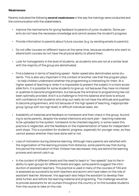## **Weaknesses**

Parents indicated the following **several weaknesses** in the way the trainings were conducted and the communication with the stakeholders:

- Improve the mechanisms for giving feedback to parents of junior students. Some parents do not have the necessary knowledge and cannot assess the student's progress.
- Provide information to parents about future courses (e.g. by sending emails to parents).
- Do not offer courses on different topics at the same time, because students who want to attend both courses do not have the physical ability to attend them.
- Look for homogeneity in the level of students, as students who are not at a similar level with the majority of the group are demotivated.
- Find a balance in terms of teaching speed faster speed also demotivates some students. This is also very important in the context of another role that the program plays - to help children understand whether the programming is interesting for them. At a higher speed of teaching or when it is impossible to present the subject in a more accessible form, it is possible for some students to give up, not because they have no interest or qualities to become programmers, but because the entrance to programming has not been optimally provided. And it is a challenge to find this balance and tools to ensure with confidence that students who drop out really do not have the attitude and qualities to become programmers, and not because of the high speed of teaching, inappropriate group (group with too high level) or difficult individual tasks, etc.
- Availability of materials and feedback on homework and their check in the group. According to some parents, despite the stated intentions and work plan - teaching materials to be uploaded to the system, homework to be checked regularly, in some cases this practice is neglected, and the feedback on the implementation of tasks for independent work stops. This is a problem for students' progress, especially for younger ones, as they cannot assess whether they have done well or not.
- Loss of motivation during distance learning. Although many parents are satisfied with the organization of the learning process from distance, some parents say that during this period the motivation of their children has decreased, they are behind the learning process and cannot catch up.
- In the context of different levels and the need to teach in "two speeds" due to the inability to open groups for different levels and ages, some parents suggest the introduction of assistant teachers. This practice is used in many of the courses of TAS and is assessed as successful by both teachers and alumni who have taken on the role of assistant teacher. Moreover, this approach also helps the assistant to develop their skills further and rethink the learning material and programing. The challenge would be to provide assistants for all courses throughout the country or to find suitable students from the course to take on this role.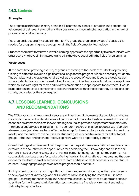### **4.6.3. Students**

#### **Strengths**

The program contributes in many areas in skills formation, career orientation and personal development of trainees. It strengthens their desire to continue in higher education in the field of programming and technology.

The program is especially valuable in that for 4-7 group the program provides the basic skills needed for programming and development in the field of computer technology.

Students share that they have fun while learning, appreciate the opportunity to communicate with other peers who have similar interests and skills they have acquired in the field of programming.

#### **Weaknesses**

At the same time, providing a variety of groups according to the levels of students or providing training at different levels is a significant challenge for the program, which is shared by students. The complexity of the study material, as well as the speed of teaching is set as a weakness by some students. Many students are looking for opportunities to upgrade, but do not always know which courses are right for them and in what combination it is appropriate to take them. It would be good if teachers take some time to present the courses (and those that they do not lead personally, but are led by their colleagues).

### **4.7. LESSONS LEARNED, CONCLUSIONS AND RECOMMENDATIONS**

The TAS program is an example of a successful investment in human capital, which contributes not only to the individual development of participants, but also to the development of the local economic environment in small towns and regions. It also provides support for the sector with the highest added value in Bulgaria—IT. The coherent theory of change, together with appropriate resources (suitable teachers, effective trainings for them, and appropriate learning environments) and the quality of the courses for students give very positive results for all key target groups - students and teachers. Positive opinions were also reported by parents.

One of the biggest achievements of the program in the past three years is its outreach to smaller towns in the country where opportunities for developing the IT knowledge and skills of children are limited or even missing, or the financial barrier for doing it is high for the parents. TAS successfully combats these factors by offering free training at local level, thus creating the conditions for students in smaller settlements to learn and develop skills necessary for their future careers. This geographic expansion of the program should continue.

It is important to continue working with both, junior and senior students, as the training seems to develop different knowledge and skills in them, while solidifying the interest in IT in both groups. According to the teachers, the Academy successfully motivates students and encourages their further interests in information technologies in a friendly environment and using well-adapted approaches.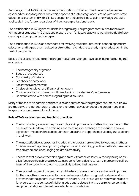Another gap that TAS fills in is the early IT education of children. The Academy offers more advanced courses for juniors, while this happens at a later stage of education within the state educational system and with a limited scope. This helps the kids to gain knowledge and skills applicable in the future, regardless of the chosen professional track.

The participation in TAS ignite students in programing. The program contributes to the skills formation of students 4-12 grade and prepare them for future study and work in the field of programing and computer technologies.

The participation in TAS also contributed for evolving students' interest in continuing tertiary education and helped them realized or strengthen their desire to study higher education in the field of programing.

Beside the excellent results of the program several challenges have been identified during the evaluation:

- The homogeneity of groups
- Speed of the courses
- Complexity of material
- Feedback on homework
- Too intensive homework
- Choice of right level of difficulty of homework
- Communication with parents with feedback on the students' performance
- Communication with parents regarding next courses.

Many of these are disputable and there is no one answer how the program can improve. Below are the views of different target groups for the further development of the program and challenges that should search for solutions:

#### **Role of TAS for teachers and teaching practices**

- The introductory steps in the program play an important role in attracting teachers to the cause of the Academy. The trainings and meetings for exchange of experience have a significant impact on the subsequent attitudes and the approaches used by the teachers in their work.
- The most effective approaches included in the program are related to teaching methods "child-oriented" - game approach, adapted pace of teaching, practical methods, creating a free environment, encouraging children's creativity.
- The tasks that provoke the thinking and creativity of the children, without placing an explicit focus on the achieved results, manage to form a desire to learn, improve the self-esteem of the students and work successfully to keep their interest.
- The optional nature of the program and the lack of assessment are extremely important for the smooth and successful formation of a desire to learn, high self-esteem and improvement of the general value system of children. Lack of evaluation removes the desire for progress in the context of higher grades and replaces it with a desire for personal development and growth based on available own capabilities.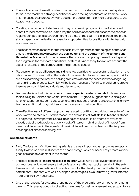- The application of the methods from the program in the standard educational system forms in the teachers a stronger confidence and a feeling of satisfaction from their work. This increases their productivity and dedication, both in terms of their obligations to the Academy and beyond.
- Creating a community of students with high success in programming is of significant benefit to local communities. In this way the horizon of opportunities for participation in regional competitions between different districts of the country is expanded, the professional capacity in the field is increased and opportunities for positions with higher paid work are created.
- The most common reasons for the impossibility to apply the methodologies of the Academy is the **discrepancy between the curriculum and the content of the schools and those in the Academy**. In order to ensure the process of applying the methodologies of the program in the standard educational system, it is necessary to take into account the specific features of the curriculum of the particular school.
- Teachers emphasize **diligence and skills** as key qualities for successful realization on the labor market. This means that there should be an explicit focus on creating specific skills, such as searching the Internet, solving problems without the necessary knowledge, logical thinking and practicality, which will build the necessary flexibility in children to create them as self-confident individuals and desire to work.
- Teachers believe that it is necessary to create **special related manuals** for lessons and topics in Digital Science and Game Development 8-12 grade. Suggestions are also given for prior support of students and teachers. This includes preparing presentations for new teachers and introducing children to the courses and their specifics.
- The effectiveness of different approaches related to putting the child at the center of the work is often pointed out. For this reason, the availability of **soft skills in teachers** stands out as particularly important. Special training sessions could be offered to overcome already established problems at work - lack of interest in children, lack of interest from parents, differences in the age of children in different groups, problems with discipline, challenges of distance learning, etc.

#### **TAS role for students**

- Early IT education of children (4th grade) is extremely important as it provides an opportunity to develop skills in students at an earlier stage, which subsequently creates a very good basis for development in the sector.
- The development of **leadership skills in children** would have a positive effect on local communities, as it would ensure that professional and human capital remains in the settlement and at the same time will provide a basis for the development of the field in smaller settlements. Students with well-developed leadership skills would have a greater interest in starting their own business.
- One of the reasons for students dropping out of the program is lack of motivation among parents. This gives grounds for directing measures for their involvement and acquaintance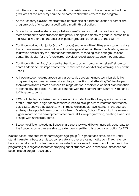with the work on the program. Information materials related to the achievements of the graduates of the Academy could be prepared to show the effects of the program.

- As the Academy plays an important role in the choice of further education or career, the program could offer support specifically aimed in this direction.
- Students find smaller study groups to be more efficient and that the teacher could pay more attention to each student in that group. This applies mostly to group in-person training in Sofia, rather than the smaller in-person groups in other parts of the country.
- Continue working with junior (4th 7th grade) and older (8th 12th grade) students since the courses seem to develop different knowledge and skills in them. The Academy seems to develop and solidify the interest in informational technologies in both groups of students. That is vital for the future career development of students, once they graduate.
- Continue with the "Entry" course that has little to do with programming itself, since students find this course important for their entry into the world of programming. They find it useful.
- Although students do not report on a larger scale developing more technical skills like programming and creating a website and apps, they find that attending TAS has helped them a lot with their more advanced trainings later on in their development as informational technology specialist. TAS should continue with their current curriculum for 4 to 7 and 8 to 12 grade students.
- TAS could try to popularize their courses within students without any specific technical profile – students in high schools that have little to no exposure to informational technologies. Data shows that students within those high schools have interest in the courses and might be a pool of new students for Telerik Academy School. There might be an even bigger impact on the development of technical skills like programming, creating a web-site or apps within those students.
- Students of Telerik Academy School share that they would like to financially contribute to the Academy, once they are able to, so fundraising within this groups is an option for TAS.

In some cases, students from the youngest age group (4-7 grade) face difficulties to understand the material because it is too complicate and they are losing motivation. The challenge here is to what extent this becomes natural selection process of those who will continue in the programing or is negative factor for dropping out of students who in other circumstances can become good program developer.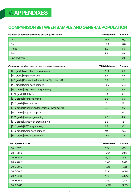# **V. APPENDIXES**

### **COMPARISON BETWEEN SAMPLE AND GENERAL POPULATION**

| Number of courses attended per unique student | <b>TAS database</b> | <b>Survey</b> |
|-----------------------------------------------|---------------------|---------------|
| One                                           | 65,6                | 68,9          |
| Two                                           | 15,8                | 18,8          |
| <b>Three</b>                                  | 6,0                 | 6,4           |
| Four                                          | 2,8                 | 2,0           |
| Five and more                                 | 9,8                 | 3,9           |

| Courses attended (base total number of attendees/unique individuals) | <b>TAS database</b> | <b>Survey</b> |
|----------------------------------------------------------------------|---------------------|---------------|
| [4-7 grade] Algorithmic programming                                  | 35,4                | 31,8          |
| [4-7 grade] Digital sciences                                         | 8,3                 | 8,9           |
| [4-7 grade] Preparation for National Olympiad in IT                  | 0,2                 | 1,6           |
| [4-7 grade] Game development                                         | 18,5                | 39,4          |
| [8-12 grade] Algorithmic programming                                 | 6,7                 | 5,5           |
| [8-12 grade] Database                                                | 2, 3                | 3,7           |
| [8-12 grade] Digital sciences                                        | 5,5                 | 6,6           |
| [8-12 grade] Mobile apps                                             | 1,2                 | 2,1           |
| [8-12 grade] Preparation for National Olympiad in IT                 | 0,4                 | 2,6           |
| [8-12 grade] Applied projects                                        | 0,4                 | 2,1           |
| [8-12 grade] Java programming                                        | 4,6                 | 3,9           |
| [8-12 grade] JavaScript programming                                  | 5,5                 | 7,3           |
| [8-12 grade] NET programming                                         | 4,2                 | 4,7           |
| [8-12 grade] Game development                                        | 7,9                 | 16, 3         |
| [8-12 grade] Web programming                                         | 18,3                | 13,1          |

| Year of participation | <b>TAS database</b> | <b>Survey</b> |
|-----------------------|---------------------|---------------|
| 2011-2012             | 5,1%                | 4,1%          |
| 2012-2013             | 14,1%               | 3,9%          |
| 2013-2014             | 23,2%               | 7,5%          |
| 2014-2015             | 8,4%                | 9,4%          |
| 2015-2016             | 11,2%               | 11,0%         |
| 2016-2017             | 7,2%                | 10,5%         |
| 2017-2018             | 7,7%                | 13,6%         |
| 2018-2019             | 9,2%                | 17,4%         |
| 2019-2020             | 14,0%               | 22,6%         |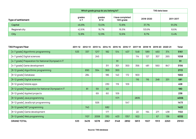|                           |                   | Which grade group do you belong to? | TAS data base                  |           |           |
|---------------------------|-------------------|-------------------------------------|--------------------------------|-----------|-----------|
| <b>Type of settlement</b> | grades<br>$4 - 7$ | grades<br>$8 - 12$                  | I have completed<br>12th grade | 2018-2020 | 2011-2017 |
| Capital                   | 46,8%             | 72,0%                               | 72,8%                          | 37,7%     | 91,0%     |
| Regional city             | 42,6%             | 16,7%                               | 16,5%                          | 53,6%     | 8,6%      |
| City                      | 12,8%             | 12,9%                               | 12,6%                          | 8,7%      | 0,4%      |

| <b>TAS Program/Year</b>                              | 2011-12 | 2012-13 | 2013-14 | 2014-15 | 2015-16 | 2016-17 | 2017-18 | 2018-19 |      | 2019-20 2020-21 | <b>Total</b> |
|------------------------------------------------------|---------|---------|---------|---------|---------|---------|---------|---------|------|-----------------|--------------|
| [4-7 grade] Algorithmic programming                  | 533     | 337     | 1217    | 182     | 514     | 407     | 548     | 589     | 460  | 374             | 5161         |
| [4-7 grade] Digital sciences                         |         |         | 245     |         |         |         | 114     | 127     | 307  | 265             | 1058         |
| [4-7 grade] Preparation for National Olympiad in IT  |         |         |         |         | 91      |         |         |         |      |                 | 91           |
| [4-7 grade] Game development                         |         |         |         | 311     | 301     | 300     | 356     | 481     | 560  | 847             | 3156         |
| [8-12 grade] Algorithmic programming                 |         | 890     | 554     | 369     | 300     |         |         |         |      |                 | 2113         |
| [8-12 grade] Database                                |         | 284     |         | 186     | 140     | 172     | 900     |         |      |                 | 1682         |
| [8-12 grade] Digital sciences                        |         |         |         |         |         |         | 116     | 116     | 248  | 201             | 681          |
| [8-12 grade] Mobile apps                             |         |         |         | 230     | 119     | 109     |         |         |      |                 | 458          |
| [8-12 grade] Preparation for National Olympiad in IT |         | 81      | 59      | 40      |         |         |         |         |      |                 | 180          |
| [8-12 grade] Applied projects                        |         |         | 69      | 60      | 109     |         |         |         |      |                 | 238          |
| [8-12 grade] Java programming                        |         |         |         |         | 1171    |         | 2835    |         |      |                 | 4006         |
| [8-12 grade] JavaScript programming                  |         |         | 926     |         |         | 547     |         |         |      |                 | 1473         |
| [8-12 grade] NET programming                         |         | 740     |         | 682     |         |         |         |         |      |                 | 1422         |
| [8-12 grade] Game development                        |         |         |         | 177     |         |         | 22      | 194     | 271  | 438             | 1102         |
| [8-12 grade] Web programming                         |         | 1107    | 2008    | 330     | 403     | 1357    | 922     |         | 67   | 138             | 6332         |
| <b>GRAND TOTAL</b>                                   | 533     | 3439    | 5078    | 2567    | 3148    | 2892    | 5813    | 1507    | 1913 | 2263            | 29153        |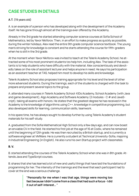## **CASE STUDIES IN DETAILS**

#### **A.T.** (19 years old)

A. is an example of a person who has developed along with the development of the Academy itself. He has gone through almost all the trainings ever offered by the Academy.

Already in the 3rd grade he started attending computer science courses at Sofia School of Mathematics, led by Yavor Nikiforov. Then, in an effort to make progress as quickly as possible, during the winter holidays, Alex read the entire 9th grade computer science textbook. The young man's striving for knowledge is constant and he starts attending the course for fifth-graders when he is still in the 3rd grade.

At the moment when Yavor Nikiforov was invited to teach at the Telerik Academy School, he attracted some of his most prominent students tzo help him, including Alex. The task of the assistants is to help students who have difficulty with the material. Alex conscientiously and devotedly takes on the role of assistant lecturer and helps anyone in need. He says his participation as an assistant teacher at TAS, helped him most to develop his skills and knowledge.

Telerik Academy School also proposes training appropriate for his level and the level of other more advanced students. During the trainings, each of the students is charged with the task to prepare and present several topics to the group.

A. attended many courses in Telerik Academy School: KIDs Academy, School Academy (with Java and game development), Algo Academy and Software Academy (2 modules - C # and JavaScript), taking all exams with honors. He states that the greatest degree he has received in the Academy is the knowledge of algorithms using C++, knowledge in competitive programming, but also developed skills for learning, communication skills, teamwork.

In his spare time, he has always sought to develop further by using Telerik Аcademy's student materials for his self-study.

A. graduated from the Sofia Mathematical High School only a few days ago, and can now boast an enviable CV in the field. He started his first job at the age of 16 at Codix, where he remained until the beginning of 12th grade. He was then recruited by a British startup, and is currently a software engineer at VMWare. He is currently a student at Technical University-Sofia, majoring in Industrial Engineering (in English). He also runs his own Startup project with classmates.

#### **B. V.**

B. started attending the courses of the Telerik Academy School when she was in 8th grade. Attends Java and TypeScript courses.

B. shares that she has learned a lot of new and useful things that have laid the foundations of programming for her. The intensity of the trainings and the level that each participant had to cover at the end was a serious challenge.

> **"Personally for me when I was that age, things were moving too fast because I didn't come from a class that had such a focus - I did it out of self-interest… "**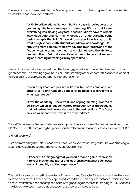B. evaluate the high level, sets by the Academy, as a strength of the program. This provoked her to work hard and make extra efforts.

> **"With Telerik Academy School, I built my basic knowledge of programming. The topics were quite interesting. It's just that for me everything was moving very fast, because I didn't have this basic knowledge beforehand. I mainly focused on understanding some basic concepts that I didn't have at this stage. I was trying to build what a high school math student would have as knowledge. Definitely the more complex topics we covered towards the end of the Academy came to me too much and I did not have the ability to deal with them. But that's exactly what prompted me to keep racing and learning new things in my spare time."**

The additional efforts she made during the training gradually introduced her to many topics in greater depth. The trainings gave her clear understanding of the opportunities for development in the area and understanding what is interesting for her.

> **"I would say that I am pleased with how far I have come and I am grateful to Telerik Academy School for being able to direct me to what I want to do."**

> **"After the Academy, I knew what kind of programming I wanted to do. I knew which language I wanted to pursue. It was the Academy that helped me lay the foundations in these directions. The Academy was a mean to the next step on the ladder."**

Today B. is pursuing a Bachelor's degree in Computer Science at one of the best universities in the UK. She is currently completing her year in industry/placement year as a Software Developer at IBM.

#### **I. H.** (21 years old)

I. started attending the Telerik Academy School when she was in 9th grade. She was studying in a game development course. She remembers with a smile:

#### **"Grade 9-10th imagining that you would make a game, then show it to your mother and father and let them play against each other was an incredibly exciting experience."**

The trainings are conducted in three days of the month and for each of these courses I. had to travel from his hometown - Lovech, to the capital and stayed there. This physical distance, which she has to cover every time, does not stop her. In the 12th grade I. again enrolled for training at TAS. She took the decision to study in part-time education at school and moved to Sofia.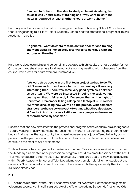**"I moved to Sofia with the idea to study at Telerik Academy, because it was 4 hours a day of training and if you want to learn the material, you need at least another 4 hours of work at home."**

I. actually enrolls not in one, but in two trainings in the Telerik Academy School. She attended the trainings for digital skills at Telerik Academy School and the professional program of Telerik Academy in parallel.

> **"In general, I went downstairs to be on first floor for one training and went upstairs immediately afterwards to continue with the lectures on the other "**

Hard work, sleepless nights and personal time devoted to high results are not a burden for her. On the contrary, she shares as a fond memory of a working meeting with colleagues from the course, which lasts for hours even on Christmas Eve:

> **"We were three people in the first team project we had to do. We didn't know each other. I wrote to the other two boys. It was very interesting then. There was some very good symbiosis between us as a team. We were so interested in doing the task we had been given that it fell exactly in December then on the night of Christmas. I remember falling asleep on a laptop at 3:00 o'clock AM, while discussing how we will do the project. With complete strangers! We have spoken exactly two times. But they also stayed at 3 o'clock. And by the way, I still see these people and even one of them became my best man."**

I. shares that she saw enrollment in the professional program of the Academy as a springboard to start working. That's what happened. Less than a month after completing the program, work began. And she has the opportunity to choose between several jobs offered to her by companies from the partner network of the Academy. She chose the place that she believed will contribute the most to her development.

To date, I. already has two years of experience in the field. Years ago she was invited to return to the Academy as a mentor in the professional program. I. studies computer science at the Faculty of Mathematics and Informatics at Sofia University and shares that the knowledge acquired within Telerik Academy School and Telerik Academy is extremely helpful for her studies at the university. She managed to exempt of many of the exams and others pass easily thanks to the skills she already has.

#### **D. T.**

D. T. has been a lecturer at the Telerik Academy School for two years. He teaches the game development course. He himself is a graduate of the Telerik Academy School. He first joined Kids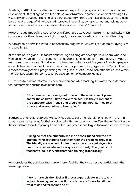Academy in 2012. Then he attended courses and algorithmic programming in C++ and games development. At that age he started helping Yavor Nikiforov in game development trainings. He was answering questions and helping other students who had technical difficulties. He remembers that at the age of 16 he became interested in teaching, going to school and helping other students, and gave his first independent lesson when he was 17 years old.

He says that trainings of his teacher Yavor Nikiforov have always been in a highly informal style, which counts as a positive side and he is trying to apply this same style in his own manner of teaching.

In 10th grade, he enrolled in the Telerik Academy program for university students, studying  $C \#$ and JavaScript.

At the end of 11th grade Dimitar started working as a program developer in xQuadro, where he worked for two years. In the meantime, he began his higher education at the Faculty of Mathematics and Informatics at Sofia University. He currently has about five years of teaching experience. He teaches in some of the summer schools of programming, organized by Yavor Nikiforov, also teaches algorithmic programming for 6th grade in Sofia School of Mathematics, and within the Telerik Academy School he teaches development of computer games.

D. T. strives to build an informal, friendly environment in his teaching. He wants the children to feel comfortable and free to communicate.

> **"I try to make the trainings informal and the environment pleasant for the children. I try to make them feel like they're in front of the computer with friends and programming, not like they're at school and everyone has to keep quiet."**

It strives to offer children a variety of activities and to build friendly relationships with them. In some breaks he is playing football or volleyball with the students or he offers them different activities to distract them temporarily from the learning process and to give them opportunity to relax.

> **"I imagine that the students see me as their friend and the programmer who is there to help them with the problems they face. The friendly environment, I think, has also encouraged shyer children to communicate and ask questions freely. The goal is not teacher to look scary and the whole training to look scary."**

He appreciates the activities that make children feel that they are an active participant in the learning process:

> **"I try to make children feel as if they also participate in the teaching and learning, and not as if the only task is for me to tell them what to do and for them to do it"**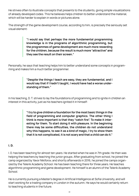He strives often to illustrate concepts that presents to the students, giving simple visualizations of already developed codes. This he believes helps children to better understand the material, which will be harder to explain in words or pictures alone.

The strength of the game development course, according to him, is precisely the seriously set visual element:

> **"I would say that perhaps the more fundamental programming knowledge is in the programs of algorithmic programming, but the programmes of game development are much more rewarding for the children, because the result is much more "attractive" and they see the result on their screen."**

Personally, he says that teaching helps him to better understand some concepts in programming and makes him a much better programmer.

> **"Despite the things I teach are easy, they are fundamental, and I would say that if I hadn't taught, I would have had a worse understanding of them."**

In his teaching, D. T. strives to lay the foundations of programming and to ignite in children an interest in this activity, just as his teachers ignited it in himself:

> **"I try to give children a foundation for the most basic things in the field of programming and computer graphics. The other thing I think is more important is that they "catch fire". To make it interesting for them. To start doing it with pleasure. In the beginning there may be some difficulties, the children do not understand why this happens, to see it as a kind of magic, I try to show them that it is not complicated, it is not scary and that a child can do it."**

#### **I. D.**

I. D. has been teaching for almost ten years. He started when he was in 7th grade. He then was helping the teachers by teaching the junior groups. After graduating from school, he joined the camp organized by Yavor Nikiforov, and shortly afterwards in 2016, he joined the camps organized by the Telerik Academy School. He has been teaching there for three years. He teaches algorithmic programming and game development. He himself is an alumni of the Telerik Academy School.

He is currently pursuing a Master's degree in Artificial Intelligence at Sofia University, and will start working for a trading company in London in the autumn. He says he would certainly return to teaching students in the future.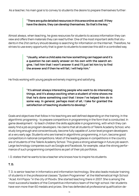As a teacher, his main goal is to convey to students the desire to prepare themselves further:

#### **"There are quite detailed resources in this area online as well. If they have the desire, they can develop themselves. So that's the key. "**

Almost always, when teaching, he gives resources for students to access information they can view and offers them materials they can read further. One of the most important skills that students in the 21st century should develop is searching for information on the Internet. Therefore, he strives to use every opportunity that is given to students to exercise this skill in a controlled way.

> **"Usually, when a child asks me how something can happen and it's a question he can easily answer on his own with the search engine, I tell him that I won't answer it and I'll just let him try to find the answer and if then he will fail, I will help him."**

He finds working with young people extremely inspiring and satisfying.

**"It's almost always interesting people who want to do interesting things, and it's always exciting when a student of mine shows me that he's done something cool that I know I've helped him do in some way. In general, perhaps most of all, I take for granted the satisfaction of teaching students to develop."**

Goals and objectives that follow in his teaching are well defined depending on the training. In the algorithmic programing - to prepare competitors in programming in the form that is conducted. In game development - to teach children the skills applicable in programming, with which they can easily find a job as program developers. He claims that all students of Telerik Academy School, who study long enough and conscientiously, become fully capable of Junior level program developers at a very early age. Students who are trained in algorithmic programming, in turn, become good competitors in national competitions. Most of the leading places in competitions in the country are of students of the Telerik Academy School. This gives a strong advantage in future job search. Large technology companies such as Google and Facebook, for example, value the strong performance of such programming competitions as part of their job portfolios.

I. D. states that he wants to be a teacher who knows how to inspire his students.

#### **T. D.**

T. D. is senior teacher in Informatics and information technology. She also leads modular training of students in the professional classes "System Programmer" at the Mathematical High School "Acad. Kiril Popov "in the city of Plovdiv. She started teaching there in 2007. She is among the most successful leaders of the Competitive informatics team of the high school. Her students have won more than 60 medals and prizes. She has defended all professional qualification de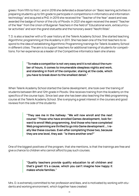grees / from fifth to first /, and in 2018 she defended a dissertation on "Basic learning activities in preparing students up to 5th grade to participate in competitions in informatics and information technology" and acquired a PhD. In 2019 she received the "Teacher of the Year" award and was awarded the badge of honor of the city of Plovdiv. In 2021 she again received the award "Teacher of the Year" from the Union of Bulgarian Teachers in the field of "Educational work, extracurricular activities" and won the grand statuette and the honorary award "Neofit Rilski".

T. D. is also a teacher with a 10-year history at the Telerik Academy School. She started teaching Algorithmic programming at the Academy in 2011. She has been one of the first teachers to respond to the idea of establishing Algorithmic Programming trainings for Telerik Academy School in different cities. The aim is to support teachers for additional training of students for competitions. For her experience as a leader of the Competitive informatics team she shares:

#### **"To make a competitor is not very easy and it is not about the number of hours, it comes to innumerable sleepless nights and work, and standing in front of the computer, staring at the code, which you have to break down to the smallest detail."**

When Telerik Academy School started the Game development, she took over the training of students between 8th and 12th grade in Plovdiv. She receives training from the Academy on the specifics of the course topic. Since last year she has been also teaching the Web programming course at the Telerik Academy School. She is enjoying a great interest in the courses and good reviews from the side of the students:

> **"They see me in the hallway: "We will now enroll and the next course! "Those who have enrolled Games development, look forward to enroll Web programming. And those who have completed Web programming are thrilled to go into Game development … I really like these courses. Even after completing those two, because they are one level, they ask: "Is there another one?"**

One of the biggest positives of the program, that she mentions, is that the trainings are free and give a chance to children who cannot afford to pay such courses.

> **"Quality teachers provide quality education to all children and that's great! It's a cause, which you can't imagine how happy it makes whole families."**

Mrs. D. is extremely committed to her profession and likes, and is motivated by working with students and working environment, which together have created: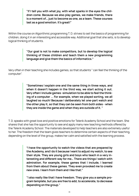**"If I tell you with what joy, with what sparks in the eyes the children come. Because we also play games, we make friends, there is a moment of… just to become as one, as a team. These courses last as a good emotion. It's great!"** 

Within the course on Algorithmic programming T. D. strives to set the basics of programming for children, doing it in an interesting and accessible way. Additional goal that she sets, is to develop logical thinking of students.

#### **"Our goal is not to make competitors, but to develop the logical thinking of these children and teach them a new programming language and give them the basics of informatics."**

Very often in their teaching she includes games, so that students " can feel the thinking of the computer".

> **"Sometimes I explain one and the same thing in three ways, and when it doesn't happen in the third way, we start acting it out. Very often I include games -simulation to be able to feel the thinking of a computer ... For example, when we played sorting, we all laughed so much! Because I deliberately let one-part watch and the other play it, so that they can be seen from both sides - when they are inside the game and when they are outside of it. "**

T. D. speaks with great love and positive emotions for Telerik Academy School and the team. She shares that she has the opportunity to see and apply many new teaching methods offered by the Telerik Academy School. The materials developed to help teachers are also extremely useful to her. The freedom that the team gives teachers to determine certain aspects of their teaching, depending on the level of the group, makes her calm and satisfied with the learning process.

> **"I have the opportunity to watch the videos that are prepared by the Academy, and I do it because I want to adjust my watch, to see their style. They are young girls and boys who teach in a very interesting and different way for me… There are things I watch with admiration. For example, these games that I include, I learned from them about these games. They even provoked me to create new ones. I learn from them and I like that."**

> **"I also really like that I have freedom. They give you a sample program template, but you are free to add, to accelerate, to decrease depending on the group."**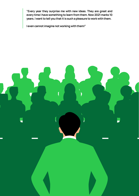**"Every year they surprise me with new ideas. They are great and every time I have something to learn from them. Now 2021 marks 10 years. I want to tell you that it is such a pleasure to work with them.**

**I even cannot imagine not working with them!"**

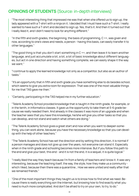### **OPINIONS OF STUDENTS** (Source: in-depth interviews)

"The most interesting thing that impressed me was that when she offered us to sign up, the lady appeared with a T-shirt with a ninja on it. I decided that I must have such a T-shirt. I really wanted to have such a T-shirt and decided to sign up. Yes, that's it. And then it turned out that I really liked it, and I didn't need to look for anything different."

"In the fifth and sixth grades, the beginning, the basis of programming, C ++, was given and now, according to one's views and needs, a person - having this basis, can easily transfer it to other languages."

"The good thing is that you don't start something in C ++, and then leave it to learn another language, and just accumulate a lot, a lot, a lot of basic knowledge about different languages, but act in one direction and having something complete, we can easily shape it the way we want."

"I continue to apply the learned knowledge not only as a competitor, but also as an author of tasks."

"It's an opportunity that in fifth and sixth grade you have something else to do besides school, which seems to give you extra room for expression. That was one of the most valuable things for me that TAS gave me then."

"Certainly, participating in the TAS helped me in my further education."

"Telerik Academy School provided knowledge that is taught in the ninth grade, for example, or in the tenth, in Informatics classes. It gave us the opportunity to take them at 5-6 grade because we really needed them. And already in the classes it was more of an upgrade and when the teacher sees that you have this knowledge, he/she will give you other tasks so that you can develop, and not stand and watch what others are doing."

"The Telerik Academy School gives a great start and now when you want to deepen something, you can work alone, because you have the necessary knowledge so that you can develop with the help of other teachers."

"The Telerik Academy School has set the direction and by setting this direction, it is normal if a person manages and does not give up over the years, not everyone can stand it. Especially when in the ninth grade and schooling becomes more intensive. But if you follow this path to the end and give your best, this end - and it is not the end, it is a sequel, it is quite logical."

"I really liked the way they teach because I'm from a family of teachers and I know it. It was very interesting, because the teaching itself, the way, the style, how they make us a community which I liked, because then there was a quarantine… How we were united and really after that we remained friends."

"One of the most important things they taught us is to know how to find what we need. Because there is really everything son the Internet, but knowing how to find exactly what you need is much more complicated. And don't be afraid to try on your own, to try, to do."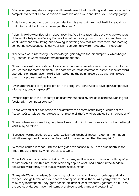"Motivated people go to such a place - those who want to do this thing, and the environment is completely different. Because everyone wants to, and if you don't like it, you just stop going."

"It definitely helped me to be more confident in this area, to know that I like it. I already know that I like it and that I want to develop in this field."

"I don't know how confident I am about teaching. Yes, I was taught by boys who are two years older and I totally know it's okay. But yes, I would definitely go back to teaching and teaching what I know, and stimulating, and showing something new that interests them, and learning something new, because I know we all learn something new from students. All teachers."

"The topics were interesting. The knowledge I gained gave the initial impetus, which began my " career " in Competitive informatics competitions."

"The classes laid the foundation for my participation in competitions in Competitive informatics. I learned the most commonly used data structures in Informatics, as well as the standard operations on them. I use the skills learned during the training every day, and I plan to use them in my professional realization."

"Even after the end of my participation in the program, I continued to develop in Competitive informatics, preparing myself."

"My participation in the Academy significantly influenced my choice to continue working professionally in computer science. "

"I don't write off at all as an option to one day have to do some of the things I learned at the Academy. Or to help someone close to me. In general, that's why I graduated from the Academy."

"The Academy was something peripheral to me that I might need one day, but not something I want in my daily life."

"Because I was not satisfied with what we learned in school, I sought external information. With the exception of the Internet, I wanted it to be something that they explain."

"What we learned in school until the 12th grade, we passed in TAS in the first month, in the first three days in reality, when the classes were."

"After TAS, I went on an internship in an IT company and I wondered if this was my thing, after this internship. But in this internship I certainly applied what I had learned in the Academy, because it was literally after that. It was the next summer."

"The goal of Telerik Academy School, in my opinion, is not to give you knowledge and skills, the goal is to ignite you, and you have to develop yourself. With the skills you get there, I don't think they're that good. They ignite people, children at least. When you go there is fun. Then the course ends, but I have the Internet - and you keep learning and deepening."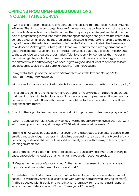### **OPINIONS FROM OPEN-ENDED QUESTIONS IN QUANTITATIVE SURVEY**

"I want to share again the positive emotions and impressions that the Telerik Academy School left in me. Thanks to the good organization of the team and the professionalism of the teacher - Doncho Minkov, I can confidently confirm that my participation helped me develop in the field of programming, introduced me to interesting technologies and gave me the impetus to continue programming. During the program I participated in, I was looking forward to the three days of the month in which to travel from Haskovo to Sofia to participate in the themes and tasks Doncho Minkov gave us. I am grateful that in our country there are organizations with good and competent teachers like him and I am convinced that they significantly contribute to the technological progress of our nation. Telerik Academy School ignites the interest in programming in high school and gives more a close look at the whole technology stack and the different skills and knowledge we need. It gives a good idea of what to continue to learn and deepen as topics and skills after graduating from the Academy.

I am grateful that I joined the initiative "Web applications with Java and Spring MVC "- 2017/2018, led by Doncho Minkov!

With wishes for many more inspired students to continue to develop in the field, thanks to you! :) "

"I first started going to the Academy ~ 8 years ago and it really helped me a lot to understand that I want to deal with technology. Yavor Nikiforov is an amazing teacher and I would say that he is one of the most influential figures who brought me to the situation I am in now. I loved programming with him."

"I want to thank you for teaching me the logical thinking one need to become a programmer."

"When I attended the Telerik Academy School, I was still not aware with myself and how I wanted to develop. And normally, at the age of 15-16, who knows what he wants ..."

"Training in TAS would be quite useful for anyone who is attracted to computer science, mathematics and technology in general. It helped me personally to realize that this type of activity is not to my taste and abilities, but I was still extremely happy with the way of teaching and learning environment."

"Your entrance level is too high. There are people with qualities who cannot start training because a foundation is required that humanitarian education does not provide."

"TAS gave me the basics of programming. At the moment, because of this, I am far ahead in my school and I know what I want to study and work."

"I'm satisfied. The children are changing. But I will never forget the time when he attended school. He was happy, ambitious, unsatisfied with what he had achieved [striving for more]. And he struggled with his childish strength. And he ran away from the last class in general school to attend Telerik Academy School. Thank you all!" (parent)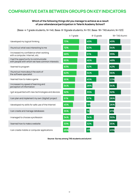### **COMPARATIVE DATA BETWEEN GROUPS ON KEY INDICATORS**

#### **Which of the following things did you manage to achieve as a result of your attendance/participation in Telerik Academy School?**

(Base: 4-7 grade students, N=146; Base: 8-12grade students, N=151; Base: 18+ TAS alumni, N=123)

|                                                                                        | 4-7 grade | 8-12 grade | 18+TAS Alumni |
|----------------------------------------------------------------------------------------|-----------|------------|---------------|
| I developed my logical thinking                                                        | 73%       | 49%        | 49%           |
| I found out what was interesting to me                                                 | 72%       | 63%        | 54%           |
| I increased my confidence when working<br>with a computer, Internet, etc.              | 68%       | 51%        | 39%           |
| I had the opportunity to communicate<br>with people with whom we have common interests | 65%       | 46%        | 48%           |
| I learned to program                                                                   | 63%       | 52%        | 42%           |
| I found out more about the work of<br>the software specialist                          | 62%       | 54%        | 56%           |
| I learned how to make a game                                                           | 55%       | 45%        | 23%           |
| I increased my speed of learning and<br>perception of information                      | 54%       | 28%        | 34%           |
| I got acquainted with new technologies and devices                                     | 52%       | 39%        | 52%           |
| I can plan and implement my own (digital) project                                      | 51%       | 37%        | 26%           |
| I developed my skills for safe use of the Internet                                     | 45%       | 19%        | 26%           |
| I can create and manage databases                                                      | 35%       | 16         | 21%           |
| I managed to choose a profession                                                       | 34%       | 34%        | 30%           |
| I learned how to make a website                                                        | 33%       | 32%        | 35%           |
| I can create mobile or computer applications                                           | 25%       | 179        | 23%           |

**Source: Survey among TAS students and alumni**